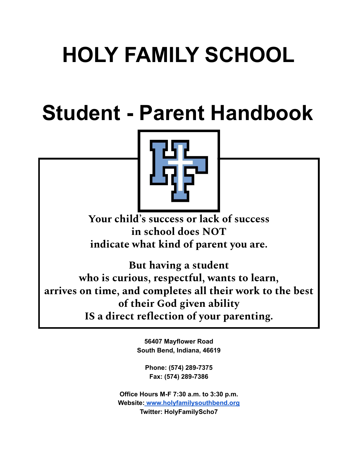# **HOLY FAMILY SCHOOL**

# **Student - Parent Handbook**



**Your child' s success or lack of success in school does NOT indicate what kind of parent you are.**

**But having a student who is curious, respectful, wants to learn, arrives on time, and completes all their work to the best of their God given ability IS a direct reflection of your parenting.**

> **56407 Mayflower Road South Bend, Indiana, 46619**

**Phone: (574) 289-7375 Fax: (574) 289-7386**

**Office Hours M-F 7:30 a.m. to 3:30 p.m. Website[:](http://www.stasb.org/) [www.holyfamilysouthbend.org](http://www.holyfamilysouthbend.org) Twitter: HolyFamilyScho7**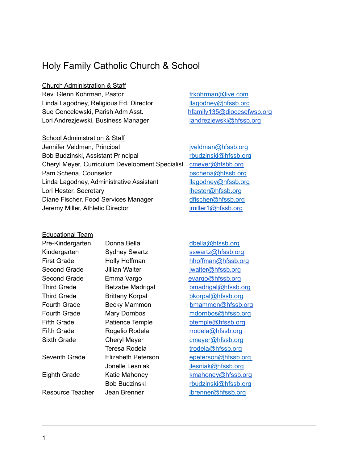# Holy Family Catholic Church & School

Church Administration & Staff

Rev. Glenn Kohrman, Pastor [frkohrman@live.com](mailto:frkohrman@live.com) Linda Lagodney, Religious Ed. Director [llagodney@hfssb.org](mailto:llagodney@hfssb.org) Sue Cencelewski, Parish Adm Asst. https://www.htamily135@diocesefwsb.org Lori Andrezjewski, Business Manager [landrezjewski@hfssb.org](mailto:landrezjewski@hfssb.org)

School Administration & Staff

Jennifer Veldman, Principal international intervel in the intervel in the intervel in the intervel in the intervel in the intervel in the intervel in the intervel in the intervel in the intervel in the intervel in the inte Bob Budzinski, Assistant Principal [rbudzinski@hfssb.org](mailto:rbudzinski@hfssb.org) Cheryl Meyer, Curriculum Development Specialist [cmeyer@hfsbb.org](mailto:cmeyer@hfsbb.org) Pam Schena, Counselor [pschena@hfssb.org](mailto:pschena@hfssb.org) Linda Lagodney, Administrative Assistant [llagodney@hfssb.org](mailto:llagodney@hfssb.org) Lori Hester, Secretary [lhester@hfssb.org](mailto:lhester@hfssb.org) Diane Fischer, Food Services Manager [dfischer@hfssb.org](mailto:dfischer@hfssb.org) Jeremy Miller, Athletic Director in the imiller1@hfssb.org

| <b>Educational Team</b> |                        |
|-------------------------|------------------------|
| Pre-Kindergarten        | Donna Bella            |
| Kindergarten            | <b>Sydney Swartz</b>   |
| <b>First Grade</b>      | <b>Holly Hoffman</b>   |
| <b>Second Grade</b>     | Jillian Walter         |
| Second Grade            | Emma Vargo             |
| Third Grade             | Betzabe Madrigal       |
| Third Grade             | <b>Brittany Korpal</b> |
| <b>Fourth Grade</b>     | <b>Becky Mammon</b>    |
| <b>Fourth Grade</b>     | <b>Mary Dornbos</b>    |
| <b>Fifth Grade</b>      | Patience Temple        |
| <b>Fifth Grade</b>      | Rogelio Rodela         |
| Sixth Grade             | <b>Cheryl Meyer</b>    |
|                         | Teresa Rodela          |
| Seventh Grade           | Elizabeth Peterson     |
|                         | Jonelle Lesniak        |
| <b>Eighth Grade</b>     | Katie Mahoney          |
|                         | Roh Rudzineki          |

[dbella@hfssb.org](mailto:dbella@hfssb.org) [sswartz@hfssb.org](mailto:sswartz@hfssb.org) [hhoffman@hfssb.org](mailto:handerson@hfssb.org) [jwalter@hfssb.org](mailto:jwalter@hfssb.org) [evargo@hfssb.org](mailto:evargo@hfssb.org) [bmadrigal@hfssb.org](mailto:bmadrigal@hfssb.org) [bkorpal@hfssb.org](mailto:bkorpal@hfssb.org) [bmammon@hfssb.org](mailto:bmammon@hfssb.org) [mdornbos@hfssb.org](mailto:mdornbos@hfssb.org) [ptemple@hfssb.org](mailto:ptemple@hfssb.org) [rrodela@hfssb.org](mailto:rrodela@hfssb.org) [cmeyer@hfssb.org](mailto:cmeyer@hfssb.org) [trodela@hfssb.org](mailto:trodela@hfssb.org) epeterson@hfssb.org [jlesniak@hfssb.org](mailto:jlesniak@hfssb.org) [kmahoney@hfssb.org](mailto:kmahoney@hfssb.org) Bob Budzinski [rbudzinski@hfssb.org](mailto:rbudzinski@hfssb.org) Resource Teacher Jean Brenner Teacher ibrenner@hfssb.org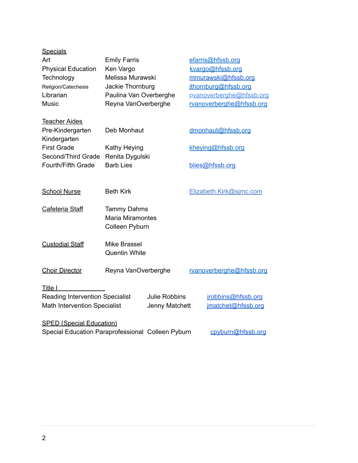| <b>Specials</b>                                   |                         |                      |                          |
|---------------------------------------------------|-------------------------|----------------------|--------------------------|
| Art                                               | <b>Emily Farris</b>     |                      | efarris@hfssb.org        |
| <b>Physical Education</b>                         | Ken Vargo               |                      | kvargo@hfssb.org         |
| Technology                                        | Melissa Murawski        |                      | mmurawski@hfssb.org      |
| Religion/Catechesis                               | Jackie Thornburg        |                      | jthornburg@hfssb.org     |
| Librarian                                         | Paulina Van Overberghe  |                      | pvanoverberghe@hfssb.org |
| Music                                             | Reyna VanOverberghe     |                      | rvanoverberghe@hfssb.org |
| <b>Teacher Aides</b>                              |                         |                      |                          |
| Pre-Kindergarten                                  | Deb Monhaut             |                      | dmonhaut@hfssb.org       |
| Kindergarten                                      |                         |                      |                          |
| <b>First Grade</b>                                | Kathy Heying            |                      | kheying@hfssb.org        |
| Second/Third Grade                                | Renita Dygulski         |                      |                          |
| Fourth/Fifth Grade                                | <b>Barb Lies</b>        |                      | blies@hfssb.org          |
|                                                   |                         |                      |                          |
| <b>School Nurse</b>                               | <b>Beth Kirk</b>        |                      | Elizabeth.Kirk@sjmc.com  |
|                                                   |                         |                      |                          |
| Cafeteria Staff                                   | <b>Tammy Dahms</b>      |                      |                          |
|                                                   | <b>Maria Miramontes</b> |                      |                          |
|                                                   | Colleen Pyburn          |                      |                          |
|                                                   |                         |                      |                          |
| <b>Custodial Staff</b>                            | <b>Mike Brassel</b>     |                      |                          |
|                                                   | <b>Quentin White</b>    |                      |                          |
|                                                   |                         |                      |                          |
| <b>Choir Director</b>                             | Reyna VanOverberghe     |                      | rvanoverberghe@hfssb.org |
|                                                   |                         |                      |                          |
| Title I                                           |                         |                      |                          |
| <b>Reading Intervention Specialist</b>            |                         | <b>Julie Robbins</b> | jrobbins@hfssb.org       |
| <b>Math Intervention Specialist</b>               |                         | Jenny Matchett       | imatchet@hfssb.org       |
| <b>SPED (Special Education)</b>                   |                         |                      |                          |
| Special Education Paraprofessional Colleen Pyburn |                         |                      | cpyburn@hfssb.org        |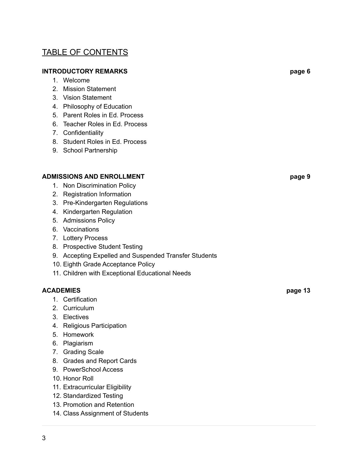# TABLE OF CONTENTS

#### **INTRODUCTORY REMARKS page 6**

- 1. Welcome
- 2. Mission Statement
- 3. Vision Statement
- 4. Philosophy of Education
- 5. Parent Roles in Ed. Process
- 6. Teacher Roles in Ed. Process
- 7. Confidentiality
- 8. Student Roles in Ed. Process
- 9. School Partnership

#### **ADMISSIONS AND ENROLLMENT page 9**

- 1. Non Discrimination Policy
- 2. Registration Information
- 3. Pre-Kindergarten Regulations
- 4. Kindergarten Regulation
- 5. Admissions Policy
- 6. Vaccinations
- 7. Lottery Process
- 8. Prospective Student Testing
- 9. Accepting Expelled and Suspended Transfer Students
- 10. Eighth Grade Acceptance Policy
- 11. Children with Exceptional Educational Needs

#### **ACADEMIES page 13**

- 1. Certification
- 2. Curriculum
- 3. Electives
- 4. Religious Participation
- 5. Homework
- 6. Plagiarism
- 7. Grading Scale
- 8. Grades and Report Cards
- 9. PowerSchool Access
- 10. Honor Roll
- 11. Extracurricular Eligibility
- 12. Standardized Testing
- 13. Promotion and Retention
- 14. Class Assignment of Students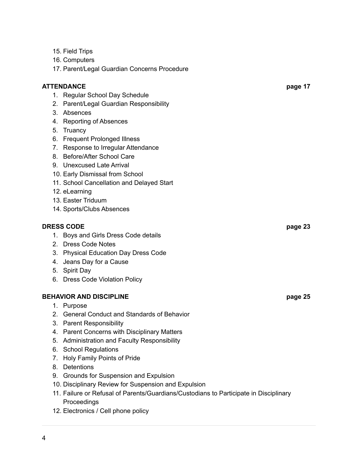- 15. Field Trips
- 16. Computers
- 17. Parent/Legal Guardian Concerns Procedure

#### **ATTENDANCE page 17**

- 1. Regular School Day Schedule
- 2. Parent/Legal Guardian Responsibility
- 3. Absences
- 4. Reporting of Absences
- 5. Truancy
- 6. Frequent Prolonged Illness
- 7. Response to Irregular Attendance
- 8. Before/After School Care
- 9. Unexcused Late Arrival
- 10. Early Dismissal from School
- 11. School Cancellation and Delayed Start
- 12. eLearning
- 13. Easter Triduum
- 14. Sports/Clubs Absences

#### **DRESS CODE page 23**

- 1. Boys and Girls Dress Code details
- 2. Dress Code Notes
- 3. Physical Education Day Dress Code
- 4. Jeans Day for a Cause
- 5. Spirit Day
- 6. Dress Code Violation Policy

#### **BEHAVIOR AND DISCIPLINE page 25**

- 1. Purpose
- 2. General Conduct and Standards of Behavior
- 3. Parent Responsibility
- 4. Parent Concerns with Disciplinary Matters
- 5. Administration and Faculty Responsibility
- 6. School Regulations
- 7. Holy Family Points of Pride
- 8. Detentions
- 9. Grounds for Suspension and Expulsion
- 10. Disciplinary Review for Suspension and Expulsion
- 11. Failure or Refusal of Parents/Guardians/Custodians to Participate in Disciplinary **Proceedings**
- 12. Electronics / Cell phone policy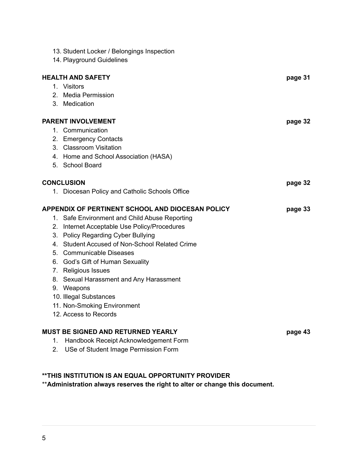|    | 13. Student Locker / Belongings Inspection       |         |
|----|--------------------------------------------------|---------|
|    | 14. Playground Guidelines                        |         |
|    |                                                  |         |
|    | <b>HEALTH AND SAFETY</b>                         | page 31 |
|    | 1. Visitors                                      |         |
|    | 2. Media Permission                              |         |
|    | 3. Medication                                    |         |
|    | <b>PARENT INVOLVEMENT</b>                        | page 32 |
|    | 1. Communication                                 |         |
|    | 2. Emergency Contacts                            |         |
|    | 3. Classroom Visitation                          |         |
|    | 4. Home and School Association (HASA)            |         |
|    | 5. School Board                                  |         |
|    |                                                  |         |
|    | <b>CONCLUSION</b>                                | page 32 |
|    | 1. Diocesan Policy and Catholic Schools Office   |         |
|    |                                                  |         |
|    | APPENDIX OF PERTINENT SCHOOL AND DIOCESAN POLICY | page 33 |
|    | 1. Safe Environment and Child Abuse Reporting    |         |
|    | 2. Internet Acceptable Use Policy/Procedures     |         |
|    | 3. Policy Regarding Cyber Bullying               |         |
|    | 4. Student Accused of Non-School Related Crime   |         |
|    | 5. Communicable Diseases                         |         |
|    | 6. God's Gift of Human Sexuality                 |         |
|    | 7. Religious Issues                              |         |
|    | 8. Sexual Harassment and Any Harassment          |         |
|    | 9. Weapons                                       |         |
|    | 10. Illegal Substances                           |         |
|    | 11. Non-Smoking Environment                      |         |
|    | 12. Access to Records                            |         |
|    | MUST BE SIGNED AND RETURNED YEARLY               | page 43 |
| 1. | Handbook Receipt Acknowledgement Form            |         |

### **\*\*THIS INSTITUTION IS AN EQUAL OPPORTUNITY PROVIDER**

\*\***Administration always reserves the right to alter or change this document.**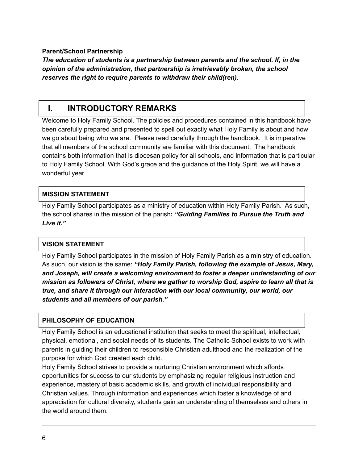#### **Parent/School Partnership**

*The education of students is a partnership between parents and the school. If, in the opinion of the administration, that partnership is irretrievably broken, the school reserves the right to require parents to withdraw their child(ren).*

## **I. INTRODUCTORY REMARKS**

Welcome to Holy Family School. The policies and procedures contained in this handbook have been carefully prepared and presented to spell out exactly what Holy Family is about and how we go about being who we are. Please read carefully through the handbook. It is imperative that all members of the school community are familiar with this document. The handbook contains both information that is diocesan policy for all schools, and information that is particular to Holy Family School. With God's grace and the guidance of the Holy Spirit, we will have a wonderful year.

#### **MISSION STATEMENT**

Holy Family School participates as a ministry of education within Holy Family Parish. As such, the school shares in the mission of the parish**:** *"Guiding Families to Pursue the Truth and Live it."*

#### **VISION STATEMENT**

Holy Family School participates in the mission of Holy Family Parish as a ministry of education. As such, our vision is the same: *"Holy Family Parish, following the example of Jesus, Mary, and Joseph, will create a welcoming environment to foster a deeper understanding of our mission as followers of Christ, where we gather to worship God, aspire to learn all that is true, and share it through our interaction with our local community, our world, our students and all members of our parish."*

#### **PHILOSOPHY OF EDUCATION**

Holy Family School is an educational institution that seeks to meet the spiritual, intellectual, physical, emotional, and social needs of its students. The Catholic School exists to work with parents in guiding their children to responsible Christian adulthood and the realization of the purpose for which God created each child.

Holy Family School strives to provide a nurturing Christian environment which affords opportunities for success to our students by emphasizing regular religious instruction and experience, mastery of basic academic skills, and growth of individual responsibility and Christian values. Through information and experiences which foster a knowledge of and appreciation for cultural diversity, students gain an understanding of themselves and others in the world around them.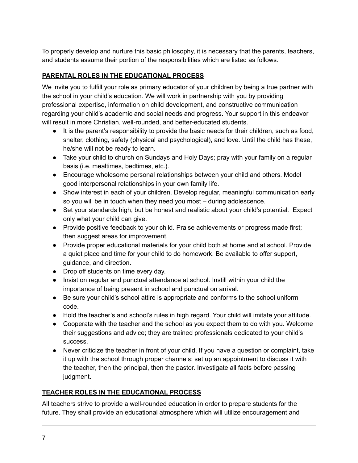To properly develop and nurture this basic philosophy, it is necessary that the parents, teachers, and students assume their portion of the responsibilities which are listed as follows.

#### **PARENTAL ROLES IN THE EDUCATIONAL PROCESS**

We invite you to fulfill your role as primary educator of your children by being a true partner with the school in your child's education. We will work in partnership with you by providing professional expertise, information on child development, and constructive communication regarding your child's academic and social needs and progress. Your support in this endeavor will result in more Christian, well-rounded, and better-educated students.

- It is the parent's responsibility to provide the basic needs for their children, such as food, shelter, clothing, safety (physical and psychological), and love. Until the child has these, he/she will not be ready to learn.
- Take your child to church on Sundays and Holy Days; pray with your family on a regular basis (i.e. mealtimes, bedtimes, etc.).
- Encourage wholesome personal relationships between your child and others. Model good interpersonal relationships in your own family life.
- Show interest in each of your children. Develop regular, meaningful communication early so you will be in touch when they need you most – during adolescence.
- Set your standards high, but be honest and realistic about your child's potential. Expect only what your child can give.
- Provide positive feedback to your child. Praise achievements or progress made first; then suggest areas for improvement.
- Provide proper educational materials for your child both at home and at school. Provide a quiet place and time for your child to do homework. Be available to offer support, guidance, and direction.
- Drop off students on time every day.
- Insist on regular and punctual attendance at school. Instill within your child the importance of being present in school and punctual on arrival.
- Be sure your child's school attire is appropriate and conforms to the school uniform code.
- Hold the teacher's and school's rules in high regard. Your child will imitate your attitude.
- Cooperate with the teacher and the school as you expect them to do with you. Welcome their suggestions and advice; they are trained professionals dedicated to your child's success.
- Never criticize the teacher in front of your child. If you have a question or complaint, take it up with the school through proper channels: set up an appointment to discuss it with the teacher, then the principal, then the pastor. Investigate all facts before passing judgment.

#### **TEACHER ROLES IN THE EDUCATIONAL PROCESS**

All teachers strive to provide a well-rounded education in order to prepare students for the future. They shall provide an educational atmosphere which will utilize encouragement and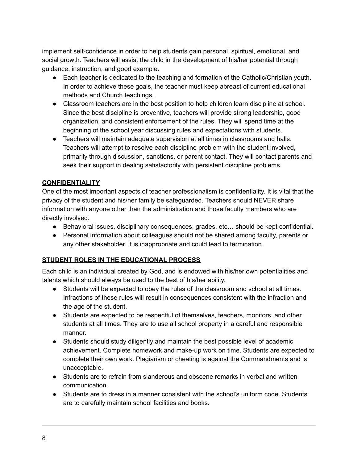implement self-confidence in order to help students gain personal, spiritual, emotional, and social growth. Teachers will assist the child in the development of his/her potential through guidance, instruction, and good example.

- Each teacher is dedicated to the teaching and formation of the Catholic/Christian youth. In order to achieve these goals, the teacher must keep abreast of current educational methods and Church teachings.
- Classroom teachers are in the best position to help children learn discipline at school. Since the best discipline is preventive, teachers will provide strong leadership, good organization, and consistent enforcement of the rules. They will spend time at the beginning of the school year discussing rules and expectations with students.
- Teachers will maintain adequate supervision at all times in classrooms and halls. Teachers will attempt to resolve each discipline problem with the student involved, primarily through discussion, sanctions, or parent contact. They will contact parents and seek their support in dealing satisfactorily with persistent discipline problems.

#### **CONFIDENTIALITY**

One of the most important aspects of teacher professionalism is confidentiality. It is vital that the privacy of the student and his/her family be safeguarded. Teachers should NEVER share information with anyone other than the administration and those faculty members who are directly involved.

- Behavioral issues, disciplinary consequences, grades, etc… should be kept confidential.
- Personal information about colleagues should not be shared among faculty, parents or any other stakeholder. It is inappropriate and could lead to termination.

#### **STUDENT ROLES IN THE EDUCATIONAL PROCESS**

Each child is an individual created by God, and is endowed with his/her own potentialities and talents which should always be used to the best of his/her ability.

- Students will be expected to obey the rules of the classroom and school at all times. Infractions of these rules will result in consequences consistent with the infraction and the age of the student.
- Students are expected to be respectful of themselves, teachers, monitors, and other students at all times. They are to use all school property in a careful and responsible manner.
- Students should study diligently and maintain the best possible level of academic achievement. Complete homework and make-up work on time. Students are expected to complete their own work. Plagiarism or cheating is against the Commandments and is unacceptable.
- Students are to refrain from slanderous and obscene remarks in verbal and written communication.
- Students are to dress in a manner consistent with the school's uniform code. Students are to carefully maintain school facilities and books.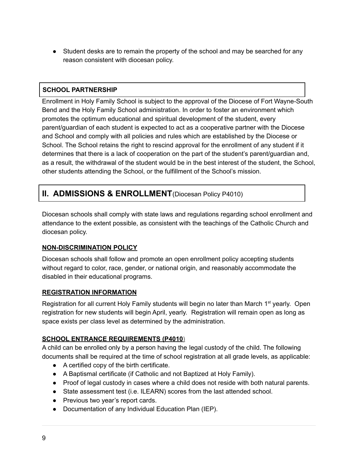● Student desks are to remain the property of the school and may be searched for any reason consistent with diocesan policy.

#### **SCHOOL PARTNERSHIP**

Enrollment in Holy Family School is subject to the approval of the Diocese of Fort Wayne-South Bend and the Holy Family School administration. In order to foster an environment which promotes the optimum educational and spiritual development of the student, every parent/guardian of each student is expected to act as a cooperative partner with the Diocese and School and comply with all policies and rules which are established by the Diocese or School. The School retains the right to rescind approval for the enrollment of any student if it determines that there is a lack of cooperation on the part of the student's parent/guardian and, as a result, the withdrawal of the student would be in the best interest of the student, the School, other students attending the School, or the fulfillment of the School's mission.

# **II. ADMISSIONS & ENROLLMENT**(Diocesan Policy P4010)

Diocesan schools shall comply with state laws and regulations regarding school enrollment and attendance to the extent possible, as consistent with the teachings of the Catholic Church and diocesan policy.

#### **NON-DISCRIMINATION POLICY**

Diocesan schools shall follow and promote an open enrollment policy accepting students without regard to color, race, gender, or national origin, and reasonably accommodate the disabled in their educational programs.

#### **REGISTRATION INFORMATION**

Registration for all current Holy Family students will begin no later than March 1<sup>st</sup> yearly. Open registration for new students will begin April, yearly. Registration will remain open as long as space exists per class level as determined by the administration.

#### **SCHOOL ENTRANCE REQUIREMENTS (P4010)**

A child can be enrolled only by a person having the legal custody of the child. The following documents shall be required at the time of school registration at all grade levels, as applicable:

- A certified copy of the birth certificate.
- A Baptismal certificate (if Catholic and not Baptized at Holy Family).
- Proof of legal custody in cases where a child does not reside with both natural parents.
- State assessment test (i.e. ILEARN) scores from the last attended school.
- Previous two year's report cards.
- Documentation of any Individual Education Plan (IEP).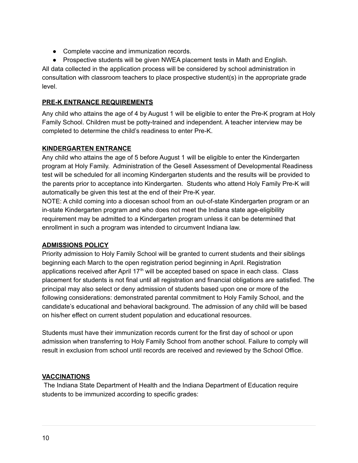- Complete vaccine and immunization records.
- Prospective students will be given NWEA placement tests in Math and English.

All data collected in the application process will be considered by school administration in consultation with classroom teachers to place prospective student(s) in the appropriate grade level.

#### **PRE-K ENTRANCE REQUIREMENTS**

Any child who attains the age of 4 by August 1 will be eligible to enter the Pre-K program at Holy Family School. Children must be potty-trained and independent. A teacher interview may be completed to determine the child's readiness to enter Pre-K.

#### **KINDERGARTEN ENTRANCE**

Any child who attains the age of 5 before August 1 will be eligible to enter the Kindergarten program at Holy Family. Administration of the Gesell Assessment of Developmental Readiness test will be scheduled for all incoming Kindergarten students and the results will be provided to the parents prior to acceptance into Kindergarten. Students who attend Holy Family Pre-K will automatically be given this test at the end of their Pre-K year.

NOTE: A child coming into a diocesan school from an out-of-state Kindergarten program or an in-state Kindergarten program and who does not meet the Indiana state age-eligibility requirement may be admitted to a Kindergarten program unless it can be determined that enrollment in such a program was intended to circumvent Indiana law.

#### **ADMISSIONS POLICY**

Priority admission to Holy Family School will be granted to current students and their siblings beginning each March to the open registration period beginning in April. Registration applications received after April 17<sup>th</sup> will be accepted based on space in each class. Class placement for students is not final until all registration and financial obligations are satisfied. The principal may also select or deny admission of students based upon one or more of the following considerations: demonstrated parental commitment to Holy Family School, and the candidate's educational and behavioral background. The admission of any child will be based on his/her effect on current student population and educational resources.

Students must have their immunization records current for the first day of school or upon admission when transferring to Holy Family School from another school. Failure to comply will result in exclusion from school until records are received and reviewed by the School Office.

#### **VACCINATIONS**

The Indiana State Department of Health and the Indiana Department of Education require students to be immunized according to specific grades: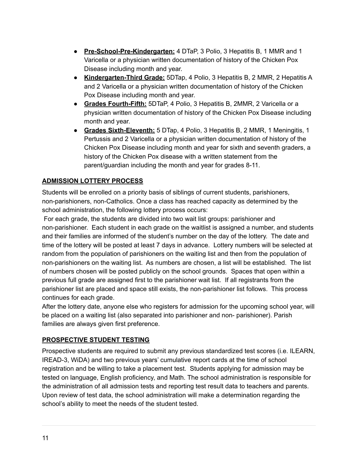- **Pre-School-Pre-Kindergarten:** 4 DTaP, 3 Polio, 3 Hepatitis B, 1 MMR and 1 Varicella or a physician written documentation of history of the Chicken Pox Disease including month and year.
- **Kindergarten-Third Grade:** 5DTap, 4 Polio, 3 Hepatitis B, 2 MMR, 2 Hepatitis A and 2 Varicella or a physician written documentation of history of the Chicken Pox Disease including month and year.
- **Grades Fourth-Fifth:** 5DTaP, 4 Polio, 3 Hepatitis B, 2MMR, 2 Varicella or a physician written documentation of history of the Chicken Pox Disease including month and year.
- **Grades Sixth-Eleventh:** 5 DTap, 4 Polio, 3 Hepatitis B, 2 MMR, 1 Meningitis, 1 Pertussis and 2 Varicella or a physician written documentation of history of the Chicken Pox Disease including month and year for sixth and seventh graders, a history of the Chicken Pox disease with a written statement from the parent/guardian including the month and year for grades 8-11.

#### **ADMISSION LOTTERY PROCESS**

Students will be enrolled on a priority basis of siblings of current students, parishioners, non-parishioners, non-Catholics. Once a class has reached capacity as determined by the school administration, the following lottery process occurs:

For each grade, the students are divided into two wait list groups: parishioner and non-parishioner. Each student in each grade on the waitlist is assigned a number, and students and their families are informed of the student's number on the day of the lottery. The date and time of the lottery will be posted at least 7 days in advance. Lottery numbers will be selected at random from the population of parishioners on the waiting list and then from the population of non-parishioners on the waiting list. As numbers are chosen, a list will be established. The list of numbers chosen will be posted publicly on the school grounds. Spaces that open within a previous full grade are assigned first to the parishioner wait list. If all registrants from the parishioner list are placed and space still exists, the non-parishioner list follows. This process continues for each grade.

After the lottery date, anyone else who registers for admission for the upcoming school year, will be placed on a waiting list (also separated into parishioner and non- parishioner). Parish families are always given first preference.

#### **PROSPECTIVE STUDENT TESTING**

Prospective students are required to submit any previous standardized test scores (i.e. ILEARN, IREAD-3, WiDA) and two previous years' cumulative report cards at the time of school registration and be willing to take a placement test. Students applying for admission may be tested on language, English proficiency, and Math. The school administration is responsible for the administration of all admission tests and reporting test result data to teachers and parents. Upon review of test data, the school administration will make a determination regarding the school's ability to meet the needs of the student tested.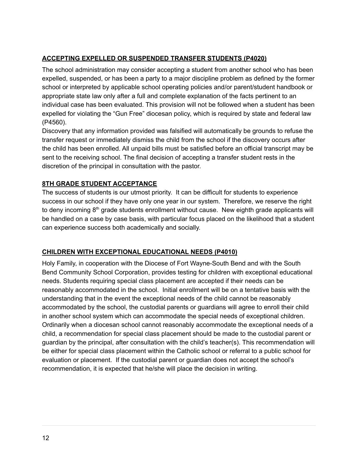#### **ACCEPTING EXPELLED OR SUSPENDED TRANSFER STUDENTS (P4020)**

The school administration may consider accepting a student from another school who has been expelled, suspended, or has been a party to a major discipline problem as defined by the former school or interpreted by applicable school operating policies and/or parent/student handbook or appropriate state law only after a full and complete explanation of the facts pertinent to an individual case has been evaluated. This provision will not be followed when a student has been expelled for violating the "Gun Free" diocesan policy, which is required by state and federal law (P4560).

Discovery that any information provided was falsified will automatically be grounds to refuse the transfer request or immediately dismiss the child from the school if the discovery occurs after the child has been enrolled. All unpaid bills must be satisfied before an official transcript may be sent to the receiving school. The final decision of accepting a transfer student rests in the discretion of the principal in consultation with the pastor.

#### **8TH GRADE STUDENT ACCEPTANCE**

The success of students is our utmost priority. It can be difficult for students to experience success in our school if they have only one year in our system. Therefore, we reserve the right to deny incoming 8<sup>th</sup> grade students enrollment without cause. New eighth grade applicants will be handled on a case by case basis, with particular focus placed on the likelihood that a student can experience success both academically and socially.

#### **CHILDREN WITH EXCEPTIONAL EDUCATIONAL NEEDS (P4010)**

Holy Family, in cooperation with the Diocese of Fort Wayne-South Bend and with the South Bend Community School Corporation, provides testing for children with exceptional educational needs. Students requiring special class placement are accepted if their needs can be reasonably accommodated in the school. Initial enrollment will be on a tentative basis with the understanding that in the event the exceptional needs of the child cannot be reasonably accommodated by the school, the custodial parents or guardians will agree to enroll their child in another school system which can accommodate the special needs of exceptional children. Ordinarily when a diocesan school cannot reasonably accommodate the exceptional needs of a child, a recommendation for special class placement should be made to the custodial parent or guardian by the principal, after consultation with the child's teacher(s). This recommendation will be either for special class placement within the Catholic school or referral to a public school for evaluation or placement. If the custodial parent or guardian does not accept the school's recommendation, it is expected that he/she will place the decision in writing.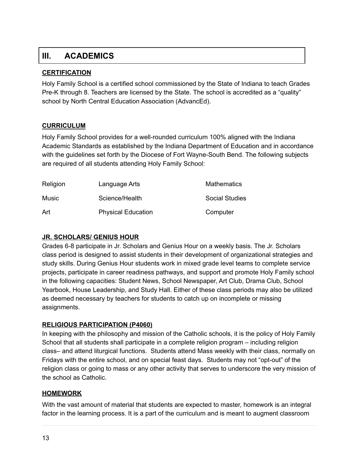# **III. ACADEMICS**

#### **CERTIFICATION**

Holy Family School is a certified school commissioned by the State of Indiana to teach Grades Pre-K through 8. Teachers are licensed by the State. The school is accredited as a "quality" school by North Central Education Association (AdvancEd).

#### **CURRICULUM**

Holy Family School provides for a well-rounded curriculum 100% aligned with the Indiana Academic Standards as established by the Indiana Department of Education and in accordance with the guidelines set forth by the Diocese of Fort Wayne-South Bend. The following subjects are required of all students attending Holy Family School:

| Religion | Language Arts             | <b>Mathematics</b>    |
|----------|---------------------------|-----------------------|
| Music    | Science/Health            | <b>Social Studies</b> |
| Art      | <b>Physical Education</b> | Computer              |

#### **JR. SCHOLARS/ GENIUS HOUR**

Grades 6-8 participate in Jr. Scholars and Genius Hour on a weekly basis. The Jr. Scholars class period is designed to assist students in their development of organizational strategies and study skills. During Genius Hour students work in mixed grade level teams to complete service projects, participate in career readiness pathways, and support and promote Holy Family school in the following capacities: Student News, School Newspaper, Art Club, Drama Club, School Yearbook, House Leadership, and Study Hall. Either of these class periods may also be utilized as deemed necessary by teachers for students to catch up on incomplete or missing assignments.

#### **RELIGIOUS PARTICIPATION (P4060)**

In keeping with the philosophy and mission of the Catholic schools, it is the policy of Holy Family School that all students shall participate in a complete religion program – including religion class– and attend liturgical functions. Students attend Mass weekly with their class, normally on Fridays with the entire school, and on special feast days. Students may not "opt-out" of the religion class or going to mass or any other activity that serves to underscore the very mission of the school as Catholic.

#### **HOMEWORK**

With the vast amount of material that students are expected to master, homework is an integral factor in the learning process. It is a part of the curriculum and is meant to augment classroom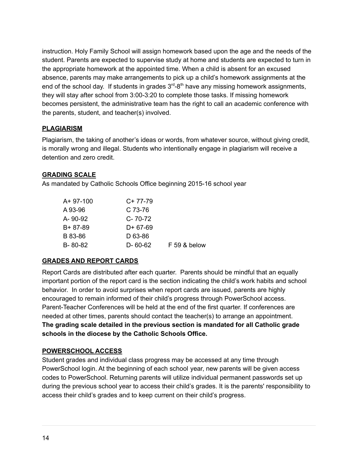instruction. Holy Family School will assign homework based upon the age and the needs of the student. Parents are expected to supervise study at home and students are expected to turn in the appropriate homework at the appointed time. When a child is absent for an excused absence, parents may make arrangements to pick up a child's homework assignments at the end of the school day. If students in grades  $3<sup>rd</sup> - 8<sup>th</sup>$  have any missing homework assignments, they will stay after school from 3:00-3:20 to complete those tasks. If missing homework becomes persistent, the administrative team has the right to call an academic conference with the parents, student, and teacher(s) involved.

#### **PLAGIARISM**

Plagiarism, the taking of another's ideas or words, from whatever source, without giving credit, is morally wrong and illegal. Students who intentionally engage in plagiarism will receive a detention and zero credit.

#### **GRADING SCALE**

As mandated by Catholic Schools Office beginning 2015-16 school year

| $A+97-100$    | $C+77-79$     |                |
|---------------|---------------|----------------|
| A 93-96       | C 73-76       |                |
| A-90-92       | $C - 70 - 72$ |                |
| $B + 87 - 89$ | D+ 67-69      |                |
| B 83-86       | D 63-86       |                |
| $B - 80 - 82$ | D- 60-62      | $F$ 59 & below |

#### **GRADES AND REPORT CARDS**

Report Cards are distributed after each quarter. Parents should be mindful that an equally important portion of the report card is the section indicating the child's work habits and school behavior. In order to avoid surprises when report cards are issued, parents are highly encouraged to remain informed of their child's progress through PowerSchool access. Parent-Teacher Conferences will be held at the end of the first quarter. If conferences are needed at other times, parents should contact the teacher(s) to arrange an appointment. **The grading scale detailed in the previous section is mandated for all Catholic grade schools in the diocese by the Catholic Schools Office.**

#### **POWERSCHOOL ACCESS**

Student grades and individual class progress may be accessed at any time through PowerSchool login. At the beginning of each school year, new parents will be given access codes to PowerSchool. Returning parents will utilize individual permanent passwords set up during the previous school year to access their child's grades. It is the parents' responsibility to access their child's grades and to keep current on their child's progress.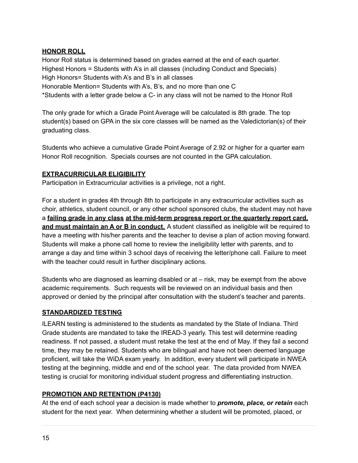#### **HONOR ROLL**

Honor Roll status is determined based on grades earned at the end of each quarter. Highest Honors = Students with A's in all classes (including Conduct and Specials) High Honors= Students with A's and B's in all classes Honorable Mention= Students with A's, B's, and no more than one C \*Students with a letter grade below a C- in any class will not be named to the Honor Roll

The only grade for which a Grade Point Average will be calculated is 8th grade. The top student(s) based on GPA in the six core classes will be named as the Valedictorian(s) of their graduating class.

Students who achieve a cumulative Grade Point Average of 2.92 or higher for a quarter earn Honor Roll recognition. Specials courses are not counted in the GPA calculation.

#### **EXTRACURRICULAR ELIGIBILITY**

Participation in Extracurricular activities is a privilege, not a right.

For a student in grades 4th through 8th to participate in any extracurricular activities such as choir, athletics, student council, or any other school sponsored clubs, the student may not have a **failing grade in any class at the mid-term progress report or the quarterly report card, and must maintain an A or B in conduct.** A student classified as ineligible will be required to have a meeting with his/her parents and the teacher to devise a plan of action moving forward. Students will make a phone call home to review the ineligibility letter with parents, and to arrange a day and time within 3 school days of receiving the letter/phone call. Failure to meet with the teacher could result in further disciplinary actions.

Students who are diagnosed as learning disabled or at – risk, may be exempt from the above academic requirements. Such requests will be reviewed on an individual basis and then approved or denied by the principal after consultation with the student's teacher and parents.

#### **STANDARDIZED TESTING**

ILEARN testing is administered to the students as mandated by the State of Indiana. Third Grade students are mandated to take the IREAD-3 yearly. This test will determine reading readiness. If not passed, a student must retake the test at the end of May. If they fail a second time, they may be retained. Students who are bilingual and have not been deemed language proficient, will take the WiDA exam yearly. In addition, every student will participate in NWEA testing at the beginning, middle and end of the school year. The data provided from NWEA testing is crucial for monitoring individual student progress and differentiating instruction.

#### **PROMOTION AND RETENTION (P4130)**

At the end of each school year a decision is made whether to *promote, place, or retain* each student for the next year. When determining whether a student will be promoted, placed, or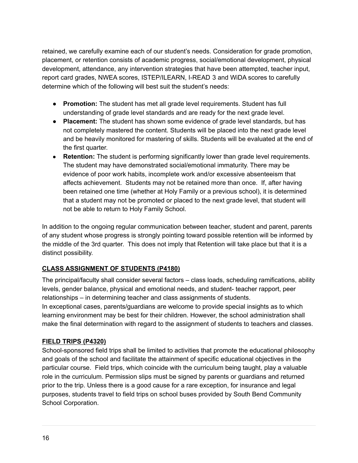retained, we carefully examine each of our student's needs. Consideration for grade promotion, placement, or retention consists of academic progress, social/emotional development, physical development, attendance, any intervention strategies that have been attempted, teacher input, report card grades, NWEA scores, ISTEP/ILEARN, I-READ 3 and WiDA scores to carefully determine which of the following will best suit the student's needs:

- **● Promotion:** The student has met all grade level requirements. Student has full understanding of grade level standards and are ready for the next grade level.
- **● Placement:** The student has shown some evidence of grade level standards, but has not completely mastered the content. Students will be placed into the next grade level and be heavily monitored for mastering of skills. Students will be evaluated at the end of the first quarter.
- **● Retention:** The student is performing significantly lower than grade level requirements. The student may have demonstrated social/emotional immaturity. There may be evidence of poor work habits, incomplete work and/or excessive absenteeism that affects achievement. Students may not be retained more than once. If, after having been retained one time (whether at Holy Family or a previous school), it is determined that a student may not be promoted or placed to the next grade level, that student will not be able to return to Holy Family School.

In addition to the ongoing regular communication between teacher, student and parent, parents of any student whose progress is strongly pointing toward possible retention will be informed by the middle of the 3rd quarter. This does not imply that Retention will take place but that it is a distinct possibility.

#### **CLASS ASSIGNMENT OF STUDENTS (P4180)**

The principal/faculty shall consider several factors – class loads, scheduling ramifications, ability levels, gender balance, physical and emotional needs, and student- teacher rapport, peer relationships – in determining teacher and class assignments of students.

In exceptional cases, parents/guardians are welcome to provide special insights as to which learning environment may be best for their children. However, the school administration shall make the final determination with regard to the assignment of students to teachers and classes.

#### **FIELD TRIPS (P4320)**

School-sponsored field trips shall be limited to activities that promote the educational philosophy and goals of the school and facilitate the attainment of specific educational objectives in the particular course. Field trips, which coincide with the curriculum being taught, play a valuable role in the curriculum. Permission slips must be signed by parents or guardians and returned prior to the trip. Unless there is a good cause for a rare exception, for insurance and legal purposes, students travel to field trips on school buses provided by South Bend Community School Corporation.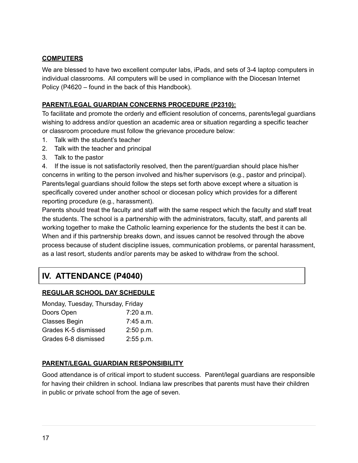#### **COMPUTERS**

We are blessed to have two excellent computer labs, iPads, and sets of 3-4 laptop computers in individual classrooms. All computers will be used in compliance with the Diocesan Internet Policy (P4620 – found in the back of this Handbook).

#### **PARENT/LEGAL GUARDIAN CONCERNS PROCEDURE (P2310):**

To facilitate and promote the orderly and efficient resolution of concerns, parents/legal guardians wishing to address and/or question an academic area or situation regarding a specific teacher or classroom procedure must follow the grievance procedure below:

- 1. Talk with the student's teacher
- 2. Talk with the teacher and principal
- 3. Talk to the pastor

4. If the issue is not satisfactorily resolved, then the parent/guardian should place his/her concerns in writing to the person involved and his/her supervisors (e.g., pastor and principal). Parents/legal guardians should follow the steps set forth above except where a situation is specifically covered under another school or diocesan policy which provides for a different reporting procedure (e.g., harassment).

Parents should treat the faculty and staff with the same respect which the faculty and staff treat the students. The school is a partnership with the administrators, faculty, staff, and parents all working together to make the Catholic learning experience for the students the best it can be. When and if this partnership breaks down, and issues cannot be resolved through the above process because of student discipline issues, communication problems, or parental harassment, as a last resort, students and/or parents may be asked to withdraw from the school.

# **IV. ATTENDANCE (P4040)**

#### **REGULAR SCHOOL DAY SCHEDULE**

| Monday, Tuesday, Thursday, Friday |
|-----------------------------------|
| $7:20$ a.m.                       |
| $7:45$ a.m.                       |
| 2:50 p.m.                         |
| 2:55 p.m.                         |
|                                   |

#### **PARENT/LEGAL GUARDIAN RESPONSIBILITY**

Good attendance is of critical import to student success. Parent/legal guardians are responsible for having their children in school. Indiana law prescribes that parents must have their children in public or private school from the age of seven.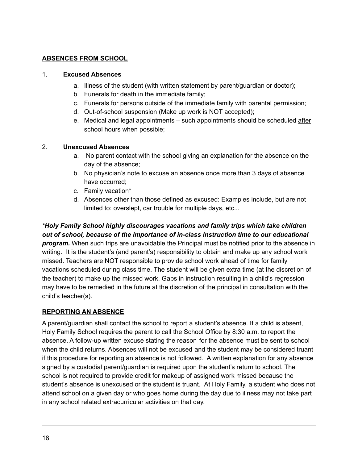#### **ABSENCES FROM SCHOOL**

#### 1. **Excused Absences**

- a. Illness of the student (with written statement by parent/guardian or doctor);
- b. Funerals for death in the immediate family;
- c. Funerals for persons outside of the immediate family with parental permission;
- d. Out-of-school suspension (Make up work is NOT accepted);
- e. Medical and legal appointments such appointments should be scheduled after school hours when possible;

#### 2. **Unexcused Absences**

- a. No parent contact with the school giving an explanation for the absence on the day of the absence;
- b. No physician's note to excuse an absence once more than 3 days of absence have occurred;
- c. Family vacation\*
- d. Absences other than those defined as excused: Examples include, but are not limited to: overslept, car trouble for multiple days, etc...

#### *\*Holy Family School highly discourages vacations and family trips which take children out of school, because of the importance of in-class instruction time to our educational*

*program.* When such trips are unavoidable the Principal must be notified prior to the absence in writing. It is the student's (and parent's) responsibility to obtain and make up any school work missed. Teachers are NOT responsible to provide school work ahead of time for family vacations scheduled during class time. The student will be given extra time (at the discretion of the teacher) to make up the missed work. Gaps in instruction resulting in a child's regression may have to be remedied in the future at the discretion of the principal in consultation with the child's teacher(s).

#### **REPORTING AN ABSENCE**

A parent/guardian shall contact the school to report a student's absence. If a child is absent, Holy Family School requires the parent to call the School Office by 8:30 a.m. to report the absence. A follow-up written excuse stating the reason for the absence must be sent to school when the child returns. Absences will not be excused and the student may be considered truant if this procedure for reporting an absence is not followed. A written explanation for any absence signed by a custodial parent/guardian is required upon the student's return to school. The school is not required to provide credit for makeup of assigned work missed because the student's absence is unexcused or the student is truant. At Holy Family, a student who does not attend school on a given day or who goes home during the day due to illness may not take part in any school related extracurricular activities on that day.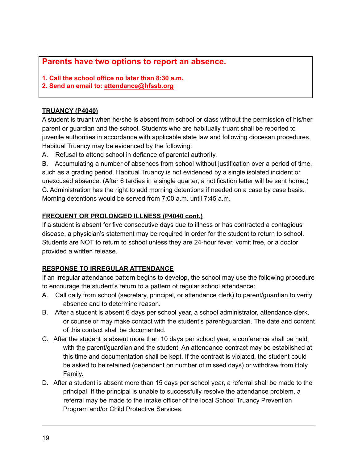#### **Parents have two options to report an absence.**

- **1. Call the school office no later than 8:30 a.m.**
- **2. Send an email to: [attendance@hfssb.org](mailto:attendance@hfssb.org)**

#### **TRUANCY (P4040)**

A student is truant when he/she is absent from school or class without the permission of his/her parent or guardian and the school. Students who are habitually truant shall be reported to juvenile authorities in accordance with applicable state law and following diocesan procedures. Habitual Truancy may be evidenced by the following:

A. Refusal to attend school in defiance of parental authority.

B. Accumulating a number of absences from school without justification over a period of time, such as a grading period. Habitual Truancy is not evidenced by a single isolated incident or unexcused absence. (After 6 tardies in a single quarter, a notification letter will be sent home.) C. Administration has the right to add morning detentions if needed on a case by case basis. Morning detentions would be served from 7:00 a.m. until 7:45 a.m.

#### **FREQUENT OR PROLONGED ILLNESS (P4040 cont.)**

If a student is absent for five consecutive days due to illness or has contracted a contagious disease, a physician's statement may be required in order for the student to return to school. Students are NOT to return to school unless they are 24-hour fever, vomit free, or a doctor provided a written release.

#### **RESPONSE TO IRREGULAR ATTENDANCE**

If an irregular attendance pattern begins to develop, the school may use the following procedure to encourage the student's return to a pattern of regular school attendance:

- A. Call daily from school (secretary, principal, or attendance clerk) to parent/guardian to verify absence and to determine reason.
- B. After a student is absent 6 days per school year, a school administrator, attendance clerk, or counselor may make contact with the student's parent/guardian. The date and content of this contact shall be documented.
- C. After the student is absent more than 10 days per school year, a conference shall be held with the parent/guardian and the student. An attendance contract may be established at this time and documentation shall be kept. If the contract is violated, the student could be asked to be retained (dependent on number of missed days) or withdraw from Holy Family.
- D. After a student is absent more than 15 days per school year, a referral shall be made to the principal. If the principal is unable to successfully resolve the attendance problem, a referral may be made to the intake officer of the local School Truancy Prevention Program and/or Child Protective Services.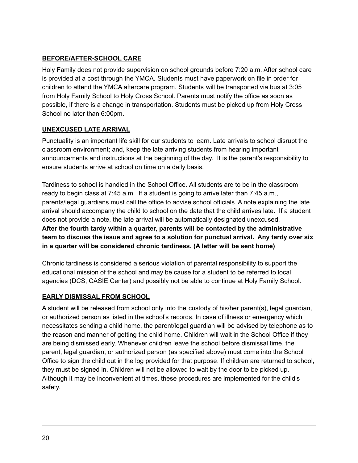#### **BEFORE/AFTER-SCHOOL CARE**

Holy Family does not provide supervision on school grounds before 7:20 a.m. After school care is provided at a cost through the YMCA. Students must have paperwork on file in order for children to attend the YMCA aftercare program. Students will be transported via bus at 3:05 from Holy Family School to Holy Cross School. Parents must notify the office as soon as possible, if there is a change in transportation. Students must be picked up from Holy Cross School no later than 6:00pm.

#### **UNEXCUSED LATE ARRIVAL**

Punctuality is an important life skill for our students to learn. Late arrivals to school disrupt the classroom environment; and, keep the late arriving students from hearing important announcements and instructions at the beginning of the day. It is the parent's responsibility to ensure students arrive at school on time on a daily basis.

Tardiness to school is handled in the School Office. All students are to be in the classroom ready to begin class at 7:45 a.m. If a student is going to arrive later than 7:45 a.m., parents/legal guardians must call the office to advise school officials. A note explaining the late arrival should accompany the child to school on the date that the child arrives late. If a student does not provide a note, the late arrival will be automatically designated unexcused. **After the fourth tardy within a quarter, parents will be contacted by the administrative team to discuss the issue and agree to a solution for punctual arrival. Any tardy over six in a quarter will be considered chronic tardiness. (A letter will be sent home)**

Chronic tardiness is considered a serious violation of parental responsibility to support the educational mission of the school and may be cause for a student to be referred to local agencies (DCS, CASIE Center) and possibly not be able to continue at Holy Family School.

#### **EARLY DISMISSAL FROM SCHOOL**

A student will be released from school only into the custody of his/her parent(s), legal guardian, or authorized person as listed in the school's records. In case of illness or emergency which necessitates sending a child home, the parent/legal guardian will be advised by telephone as to the reason and manner of getting the child home. Children will wait in the School Office if they are being dismissed early. Whenever children leave the school before dismissal time, the parent, legal guardian, or authorized person (as specified above) must come into the School Office to sign the child out in the log provided for that purpose. If children are returned to school, they must be signed in. Children will not be allowed to wait by the door to be picked up. Although it may be inconvenient at times, these procedures are implemented for the child's safety.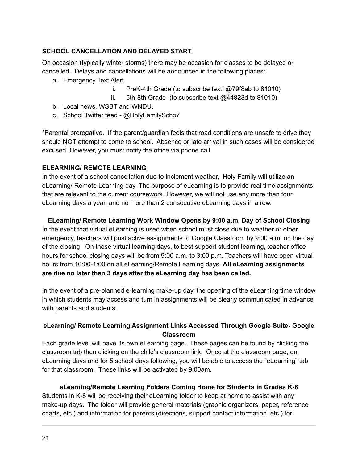#### **SCHOOL CANCELLATION AND DELAYED START**

On occasion (typically winter storms) there may be occasion for classes to be delayed or cancelled. Delays and cancellations will be announced in the following places:

- a. Emergency Text Alert
	- i. PreK-4th Grade (to subscribe text: @79f8ab to 81010)
	- ii. 5th-8th Grade (to subscribe text @44823d to 81010)
- b. Local news, WSBT and WNDU.
- c. School Twitter feed @HolyFamilyScho7

\*Parental prerogative. If the parent/guardian feels that road conditions are unsafe to drive they should NOT attempt to come to school. Absence or late arrival in such cases will be considered excused. However, you must notify the office via phone call.

#### **ELEARNING/ REMOTE LEARNING**

In the event of a school cancellation due to inclement weather, Holy Family will utilize an eLearning/ Remote Learning day. The purpose of eLearning is to provide real time assignments that are relevant to the current coursework. However, we will not use any more than four eLearning days a year, and no more than 2 consecutive eLearning days in a row.

#### **ELearning/ Remote Learning Work Window Opens by 9:00 a.m. Day of School Closing**

In the event that virtual eLearning is used when school must close due to weather or other emergency, teachers will post active assignments to Google Classroom by 9:00 a.m. on the day of the closing. On these virtual learning days, to best support student learning, teacher office hours for school closing days will be from 9:00 a.m. to 3:00 p.m. Teachers will have open virtual hours from 10:00-1:00 on all eLearning/Remote Learning days. **All eLearning assignments are due no later than 3 days after the eLearning day has been called.**

In the event of a pre-planned e-learning make-up day, the opening of the eLearning time window in which students may access and turn in assignments will be clearly communicated in advance with parents and students.

#### **eLearning/ Remote Learning Assignment Links Accessed Through Google Suite- Google Classroom**

Each grade level will have its own eLearning page. These pages can be found by clicking the classroom tab then clicking on the child's classroom link. Once at the classroom page, on eLearning days and for 5 school days following, you will be able to access the "eLearning" tab for that classroom. These links will be activated by 9:00am.

#### **eLearning/Remote Learning Folders Coming Home for Students in Grades K-8**

Students in K-8 will be receiving their eLearning folder to keep at home to assist with any make-up days. The folder will provide general materials (graphic organizers, paper, reference charts, etc.) and information for parents (directions, support contact information, etc.) for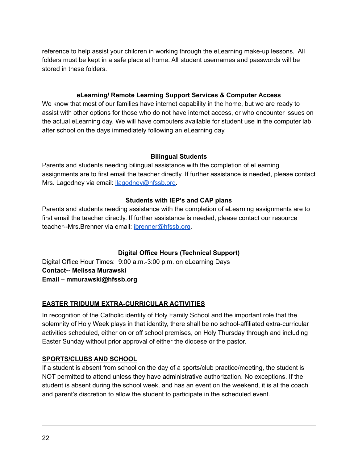reference to help assist your children in working through the eLearning make-up lessons. All folders must be kept in a safe place at home. All student usernames and passwords will be stored in these folders.

#### **eLearning/ Remote Learning Support Services & Computer Access**

We know that most of our families have internet capability in the home, but we are ready to assist with other options for those who do not have internet access, or who encounter issues on the actual eLearning day. We will have computers available for student use in the computer lab after school on the days immediately following an eLearning day.

#### **Bilingual Students**

Parents and students needing bilingual assistance with the completion of eLearning assignments are to first email the teacher directly. If further assistance is needed, please contact Mrs. Lagodney via email: **llagodney@hfssb.org**.

#### **Students with IEP's and CAP plans**

Parents and students needing assistance with the completion of eLearning assignments are to first email the teacher directly. If further assistance is needed, please contact our resource teacher--Mrs. Brenner via email: [jbrenner@hfssb.org.](mailto:jbrenner@hfssb.org)

#### **Digital Office Hours (Technical Support)**

Digital Office Hour Times: 9:00 a.m.-3:00 p.m. on eLearning Days **Contact-- Melissa Murawski Email – mmurawski@hfssb.org**

#### **EASTER TRIDUUM EXTRA-CURRICULAR ACTIVITIES**

In recognition of the Catholic identity of Holy Family School and the important role that the solemnity of Holy Week plays in that identity, there shall be no school-affiliated extra-curricular activities scheduled, either on or off school premises, on Holy Thursday through and including Easter Sunday without prior approval of either the diocese or the pastor.

#### **SPORTS/CLUBS AND SCHOOL**

If a student is absent from school on the day of a sports/club practice/meeting, the student is NOT permitted to attend unless they have administrative authorization. No exceptions. If the student is absent during the school week, and has an event on the weekend, it is at the coach and parent's discretion to allow the student to participate in the scheduled event.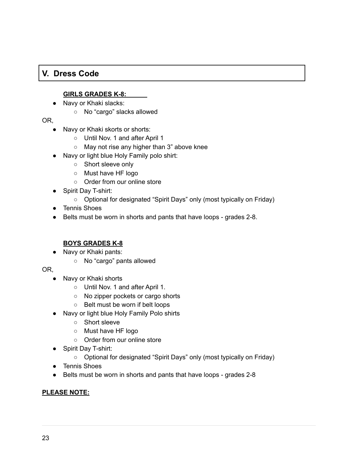## **V. Dress Code**

#### **GIRLS GRADES K-8:**

- Navy or Khaki slacks:
	- No "cargo" slacks allowed

OR,

- Navy or Khaki skorts or shorts:
	- Until Nov. 1 and after April 1
	- May not rise any higher than 3" above knee
- Navy or light blue Holy Family polo shirt:
	- Short sleeve only
	- Must have HF logo
	- Order from our online store
- Spirit Day T-shirt:
	- Optional for designated "Spirit Days" only (most typically on Friday)
- Tennis Shoes
- Belts must be worn in shorts and pants that have loops grades 2-8.

#### **BOYS GRADES K-8**

- Navy or Khaki pants:
	- No "cargo" pants allowed

OR,

- Navy or Khaki shorts
	- Until Nov. 1 and after April 1.
	- No zipper pockets or cargo shorts
	- Belt must be worn if belt loops
- Navy or light blue Holy Family Polo shirts
	- Short sleeve
	- Must have HF logo
	- Order from our online store
- Spirit Day T-shirt:
	- Optional for designated "Spirit Days" only (most typically on Friday)
- Tennis Shoes
- Belts must be worn in shorts and pants that have loops grades 2-8

#### **PLEASE NOTE:**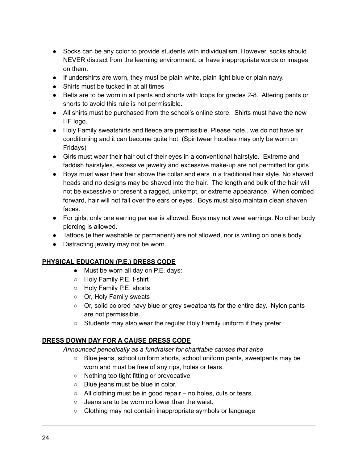- Socks can be any color to provide students with individualism. However, socks should NEVER distract from the learning environment, or have inappropriate words or images on them.
- If undershirts are worn, they must be plain white, plain light blue or plain navy.
- Shirts must be tucked in at all times
- Belts are to be worn in all pants and shorts with loops for grades 2-8. Altering pants or shorts to avoid this rule is not permissible.
- All shirts must be purchased from the school's online store. Shirts must have the new HF logo.
- Holy Family sweatshirts and fleece are permissible. Please note.. we do not have air conditioning and it can become quite hot. (Spiritwear hoodies may only be worn on Fridays)
- Girls must wear their hair out of their eyes in a conventional hairstyle. Extreme and faddish hairstyles, excessive jewelry and excessive make-up are not permitted for girls.
- Boys must wear their hair above the collar and ears in a traditional hair style. No shaved heads and no designs may be shaved into the hair. The length and bulk of the hair will not be excessive or present a ragged, unkempt, or extreme appearance. When combed forward, hair will not fall over the ears or eyes. Boys must also maintain clean shaven faces.
- For girls, only one earring per ear is allowed. Boys may not wear earrings. No other body piercing is allowed.
- Tattoos (either washable or permanent) are not allowed, nor is writing on one's body.
- Distracting jewelry may not be worn.

#### **PHYSICAL EDUCATION (P.E.) DRESS CODE**

- Must be worn all day on P.E. days:
- Holy Family P.E. t-shirt
- Holy Family P.E. shorts
- Or, Holy Family sweats
- Or, solid colored navy blue or grey sweatpants for the entire day. Nylon pants are not permissible.
- Students may also wear the regular Holy Family uniform if they prefer

#### **DRESS DOWN DAY FOR A CAUSE DRESS CODE**

*Announced periodically as a fundraiser for charitable causes that arise*

- Blue jeans, school uniform shorts, school uniform pants, sweatpants may be worn and must be free of any rips, holes or tears.
- Nothing too tight fitting or provocative
- Blue jeans must be blue in color.
- $\circ$  All clothing must be in good repair no holes, cuts or tears.
- Jeans are to be worn no lower than the waist.
- Clothing may not contain inappropriate symbols or language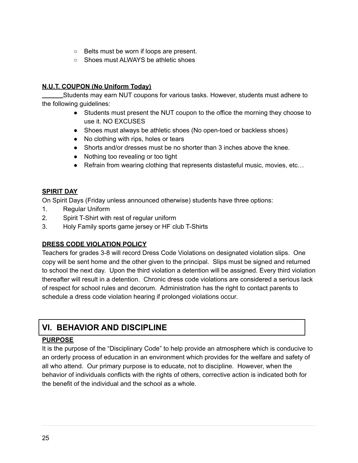- Belts must be worn if loops are present.
- Shoes must ALWAYS be athletic shoes

#### **N.U.T. COUPON (No Uniform Today)**

Students may earn NUT coupons for various tasks. However, students must adhere to the following guidelines:

- Students must present the NUT coupon to the office the morning they choose to use it. NO EXCUSES
- Shoes must always be athletic shoes (No open-toed or backless shoes)
- No clothing with rips, holes or tears
- Shorts and/or dresses must be no shorter than 3 inches above the knee.
- Nothing too revealing or too tight
- Refrain from wearing clothing that represents distasteful music, movies, etc...

#### **SPIRIT DAY**

On Spirit Days (Friday unless announced otherwise) students have three options:

- 1. Regular Uniform
- 2. Spirit T-Shirt with rest of regular uniform
- 3. Holy Family sports game jersey or HF club T-Shirts

#### **DRESS CODE VIOLATION POLICY**

Teachers for grades 3-8 will record Dress Code Violations on designated violation slips. One copy will be sent home and the other given to the principal. Slips must be signed and returned to school the next day. Upon the third violation a detention will be assigned. Every third violation thereafter will result in a detention. Chronic dress code violations are considered a serious lack of respect for school rules and decorum. Administration has the right to contact parents to schedule a dress code violation hearing if prolonged violations occur.

# **VI. BEHAVIOR AND DISCIPLINE**

#### **PURPOSE**

It is the purpose of the "Disciplinary Code" to help provide an atmosphere which is conducive to an orderly process of education in an environment which provides for the welfare and safety of all who attend. Our primary purpose is to educate, not to discipline. However, when the behavior of individuals conflicts with the rights of others, corrective action is indicated both for the benefit of the individual and the school as a whole.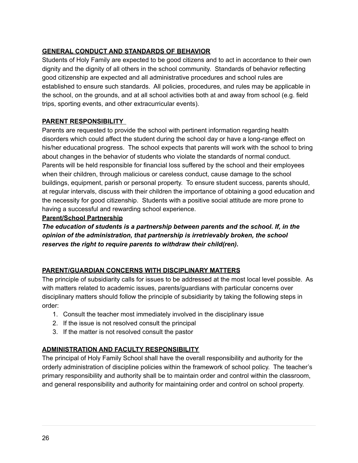#### **GENERAL CONDUCT AND STANDARDS OF BEHAVIOR**

Students of Holy Family are expected to be good citizens and to act in accordance to their own dignity and the dignity of all others in the school community. Standards of behavior reflecting good citizenship are expected and all administrative procedures and school rules are established to ensure such standards. All policies, procedures, and rules may be applicable in the school, on the grounds, and at all school activities both at and away from school (e.g. field trips, sporting events, and other extracurricular events).

#### **PARENT RESPONSIBILITY**

Parents are requested to provide the school with pertinent information regarding health disorders which could affect the student during the school day or have a long-range effect on his/her educational progress. The school expects that parents will work with the school to bring about changes in the behavior of students who violate the standards of normal conduct. Parents will be held responsible for financial loss suffered by the school and their employees when their children, through malicious or careless conduct, cause damage to the school buildings, equipment, parish or personal property. To ensure student success, parents should, at regular intervals, discuss with their children the importance of obtaining a good education and the necessity for good citizenship. Students with a positive social attitude are more prone to having a successful and rewarding school experience.

#### **Parent/School Partnership**

*The education of students is a partnership between parents and the school. If, in the opinion of the administration, that partnership is irretrievably broken, the school reserves the right to require parents to withdraw their child(ren).*

#### **PARENT/GUARDIAN CONCERNS WITH DISCIPLINARY MATTERS**

The principle of subsidiarity calls for issues to be addressed at the most local level possible. As with matters related to academic issues, parents/guardians with particular concerns over disciplinary matters should follow the principle of subsidiarity by taking the following steps in order:

- 1. Consult the teacher most immediately involved in the disciplinary issue
- 2. If the issue is not resolved consult the principal
- 3. If the matter is not resolved consult the pastor

#### **ADMINISTRATION AND FACULTY RESPONSIBILITY**

The principal of Holy Family School shall have the overall responsibility and authority for the orderly administration of discipline policies within the framework of school policy. The teacher's primary responsibility and authority shall be to maintain order and control within the classroom, and general responsibility and authority for maintaining order and control on school property.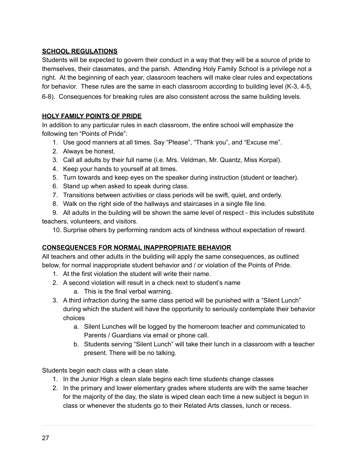#### **SCHOOL REGULATIONS**

Students will be expected to govern their conduct in a way that they will be a source of pride to themselves, their classmates, and the parish. Attending Holy Family School is a privilege not a right. At the beginning of each year, classroom teachers will make clear rules and expectations for behavior. These rules are the same in each classroom according to building level (K-3, 4-5, 6-8). Consequences for breaking rules are also consistent across the same building levels.

#### **HOLY FAMILY POINTS OF PRIDE**

In addition to any particular rules in each classroom, the entire school will emphasize the following ten "Points of Pride":

- 1. Use good manners at all times. Say "Please", "Thank you", and "Excuse me".
- 2. Always be honest.
- 3. Call all adults by their full name (i.e. Mrs. Veldman, Mr. Quantz, Miss Korpal).
- 4. Keep your hands to yourself at all times.
- 5. Turn towards and keep eyes on the speaker during instruction (student or teacher).
- 6. Stand up when asked to speak during class.
- 7. Transitions between activities or class periods will be swift, quiet, and orderly.
- 8. Walk on the right side of the hallways and staircases in a single file line.

9. All adults in the building will be shown the same level of respect - this includes substitute teachers, volunteers, and visitors.

10. Surprise others by performing random acts of kindness without expectation of reward.

#### **CONSEQUENCES FOR NORMAL INAPPROPRIATE BEHAVIOR**

All teachers and other adults in the building will apply the same consequences, as outlined below, for normal inappropriate student behavior and / or violation of the Points of Pride.

- 1. At the first violation the student will write their name.
- 2. A second violation will result in a check next to student's name
	- a. This is the final verbal warning.
- 3. A third infraction during the same class period will be punished with a "Silent Lunch" during which the student will have the opportunity to seriously contemplate their behavior choices
	- a. Silent Lunches will be logged by the homeroom teacher and communicated to Parents / Guardians via email or phone call.
	- b. Students serving "Silent Lunch" will take their lunch in a classroom with a teacher present. There will be no talking.

Students begin each class with a clean slate.

- 1. In the Junior High a clean slate begins each time students change classes
- 2. In the primary and lower elementary grades where students are with the same teacher for the majority of the day, the slate is wiped clean each time a new subject is begun in class or whenever the students go to their Related Arts classes, lunch or recess.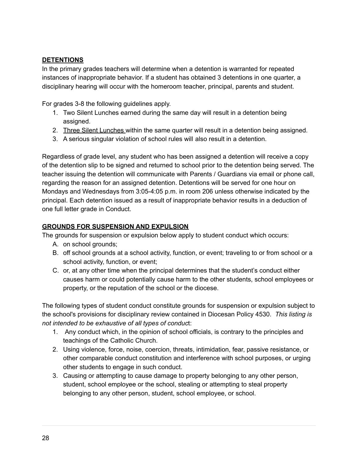#### **DETENTIONS**

In the primary grades teachers will determine when a detention is warranted for repeated instances of inappropriate behavior. If a student has obtained 3 detentions in one quarter, a disciplinary hearing will occur with the homeroom teacher, principal, parents and student.

For grades 3-8 the following guidelines apply.

- 1. Two Silent Lunches earned during the same day will result in a detention being assigned.
- 2. Three Silent Lunches within the same quarter will result in a detention being assigned.
- 3. A serious singular violation of school rules will also result in a detention.

Regardless of grade level, any student who has been assigned a detention will receive a copy of the detention slip to be signed and returned to school prior to the detention being served. The teacher issuing the detention will communicate with Parents / Guardians via email or phone call, regarding the reason for an assigned detention. Detentions will be served for one hour on Mondays and Wednesdays from 3:05-4:05 p.m. in room 206 unless otherwise indicated by the principal. Each detention issued as a result of inappropriate behavior results in a deduction of one full letter grade in Conduct.

#### **GROUNDS FOR SUSPENSION AND EXPULSION**

The grounds for suspension or expulsion below apply to student conduct which occurs:

- A. on school grounds;
- B. off school grounds at a school activity, function, or event; traveling to or from school or a school activity, function, or event;
- C. or, at any other time when the principal determines that the student's conduct either causes harm or could potentially cause harm to the other students, school employees or property, or the reputation of the school or the diocese.

The following types of student conduct constitute grounds for suspension or expulsion subject to the school's provisions for disciplinary review contained in Diocesan Policy 4530. *This listing is not intended to be exhaustive of all types of conduc*t:

- 1. Any conduct which, in the opinion of school officials, is contrary to the principles and teachings of the Catholic Church.
- 2. Using violence, force, noise, coercion, threats, intimidation, fear, passive resistance, or other comparable conduct constitution and interference with school purposes, or urging other students to engage in such conduct.
- 3. Causing or attempting to cause damage to property belonging to any other person, student, school employee or the school, stealing or attempting to steal property belonging to any other person, student, school employee, or school.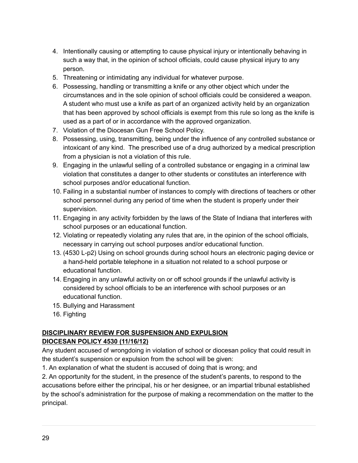- 4. Intentionally causing or attempting to cause physical injury or intentionally behaving in such a way that, in the opinion of school officials, could cause physical injury to any person.
- 5. Threatening or intimidating any individual for whatever purpose.
- 6. Possessing, handling or transmitting a knife or any other object which under the circumstances and in the sole opinion of school officials could be considered a weapon. A student who must use a knife as part of an organized activity held by an organization that has been approved by school officials is exempt from this rule so long as the knife is used as a part of or in accordance with the approved organization.
- 7. Violation of the Diocesan Gun Free School Policy.
- 8. Possessing, using, transmitting, being under the influence of any controlled substance or intoxicant of any kind. The prescribed use of a drug authorized by a medical prescription from a physician is not a violation of this rule.
- 9. Engaging in the unlawful selling of a controlled substance or engaging in a criminal law violation that constitutes a danger to other students or constitutes an interference with school purposes and/or educational function.
- 10. Failing in a substantial number of instances to comply with directions of teachers or other school personnel during any period of time when the student is properly under their supervision.
- 11. Engaging in any activity forbidden by the laws of the State of Indiana that interferes with school purposes or an educational function.
- 12. Violating or repeatedly violating any rules that are, in the opinion of the school officials, necessary in carrying out school purposes and/or educational function.
- 13. (4530 L-p2) Using on school grounds during school hours an electronic paging device or a hand-held portable telephone in a situation not related to a school purpose or educational function.
- 14. Engaging in any unlawful activity on or off school grounds if the unlawful activity is considered by school officials to be an interference with school purposes or an educational function.
- 15. Bullying and Harassment
- 16. Fighting

#### **DISCIPLINARY REVIEW FOR SUSPENSION AND EXPULSION DIOCESAN POLICY 4530 (11/16/12)**

Any student accused of wrongdoing in violation of school or diocesan policy that could result in the student's suspension or expulsion from the school will be given:

1. An explanation of what the student is accused of doing that is wrong; and

2. An opportunity for the student, in the presence of the student's parents, to respond to the accusations before either the principal, his or her designee, or an impartial tribunal established by the school's administration for the purpose of making a recommendation on the matter to the principal.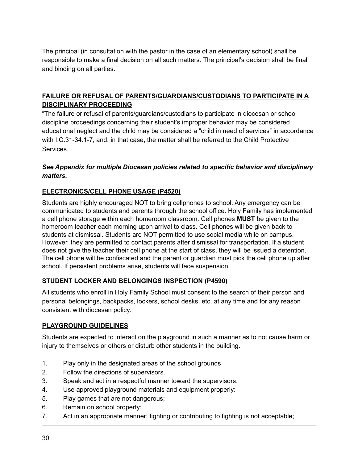The principal (in consultation with the pastor in the case of an elementary school) shall be responsible to make a final decision on all such matters. The principal's decision shall be final and binding on all parties.

#### **FAILURE OR REFUSAL OF PARENTS/GUARDIANS/CUSTODIANS TO PARTICIPATE IN A DISCIPLINARY PROCEEDING**

"The failure or refusal of parents/guardians/custodians to participate in diocesan or school discipline proceedings concerning their student's improper behavior may be considered educational neglect and the child may be considered a "child in need of services" in accordance with I.C.31-34.1-7, and, in that case, the matter shall be referred to the Child Protective **Services** 

#### *See Appendix for multiple Diocesan policies related to specific behavior and disciplinary matters.*

#### **ELECTRONICS/CELL PHONE USAGE (P4520)**

Students are highly encouraged NOT to bring cellphones to school. Any emergency can be communicated to students and parents through the school office. Holy Family has implemented a cell phone storage within each homeroom classroom. Cell phones **MUST** be given to the homeroom teacher each morning upon arrival to class. Cell phones will be given back to students at dismissal. Students are NOT permitted to use social media while on campus. However, they are permitted to contact parents after dismissal for transportation. If a student does not give the teacher their cell phone at the start of class, they will be issued a detention. The cell phone will be confiscated and the parent or guardian must pick the cell phone up after school. If persistent problems arise, students will face suspension.

#### **STUDENT LOCKER AND BELONGINGS INSPECTION (P4590)**

All students who enroll in Holy Family School must consent to the search of their person and personal belongings, backpacks, lockers, school desks, etc. at any time and for any reason consistent with diocesan policy.

#### **PLAYGROUND GUIDELINES**

Students are expected to interact on the playground in such a manner as to not cause harm or injury to themselves or others or disturb other students in the building.

- 1. Play only in the designated areas of the school grounds
- 2. Follow the directions of supervisors.
- 3. Speak and act in a respectful manner toward the supervisors.
- 4. Use approved playground materials and equipment properly:
- 5. Play games that are not dangerous;
- 6. Remain on school property;
- 7. Act in an appropriate manner; fighting or contributing to fighting is not acceptable;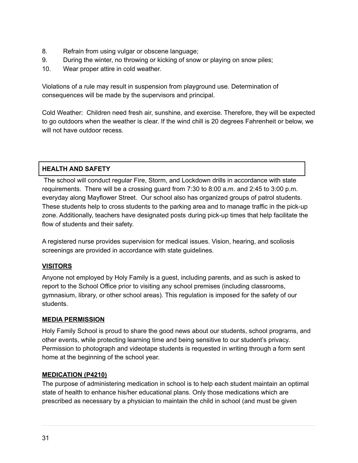- 8. Refrain from using vulgar or obscene language;
- 9. During the winter, no throwing or kicking of snow or playing on snow piles;
- 10. Wear proper attire in cold weather.

Violations of a rule may result in suspension from playground use. Determination of consequences will be made by the supervisors and principal.

Cold Weather: Children need fresh air, sunshine, and exercise. Therefore, they will be expected to go outdoors when the weather is clear. If the wind chill is 20 degrees Fahrenheit or below, we will not have outdoor recess.

#### **HEALTH AND SAFETY**

The school will conduct regular Fire, Storm, and Lockdown drills in accordance with state requirements. There will be a crossing guard from 7:30 to 8:00 a.m. and 2:45 to 3:00 p.m. everyday along Mayflower Street. Our school also has organized groups of patrol students. These students help to cross students to the parking area and to manage traffic in the pick-up zone. Additionally, teachers have designated posts during pick-up times that help facilitate the flow of students and their safety.

A registered nurse provides supervision for medical issues. Vision, hearing, and scoliosis screenings are provided in accordance with state guidelines.

#### **VISITORS**

Anyone not employed by Holy Family is a guest, including parents, and as such is asked to report to the School Office prior to visiting any school premises (including classrooms, gymnasium, library, or other school areas). This regulation is imposed for the safety of our students.

#### **MEDIA PERMISSION**

Holy Family School is proud to share the good news about our students, school programs, and other events, while protecting learning time and being sensitive to our student's privacy. Permission to photograph and videotape students is requested in writing through a form sent home at the beginning of the school year.

#### **MEDICATION (P4210)**

The purpose of administering medication in school is to help each student maintain an optimal state of health to enhance his/her educational plans. Only those medications which are prescribed as necessary by a physician to maintain the child in school (and must be given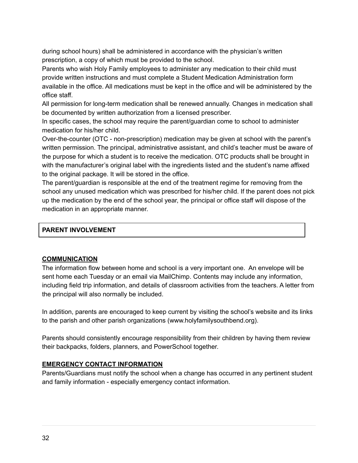during school hours) shall be administered in accordance with the physician's written prescription, a copy of which must be provided to the school.

Parents who wish Holy Family employees to administer any medication to their child must provide written instructions and must complete a Student Medication Administration form available in the office. All medications must be kept in the office and will be administered by the office staff.

All permission for long-term medication shall be renewed annually. Changes in medication shall be documented by written authorization from a licensed prescriber.

In specific cases, the school may require the parent/guardian come to school to administer medication for his/her child.

Over-the-counter (OTC - non-prescription) medication may be given at school with the parent's written permission. The principal, administrative assistant, and child's teacher must be aware of the purpose for which a student is to receive the medication. OTC products shall be brought in with the manufacturer's original label with the ingredients listed and the student's name affixed to the original package. It will be stored in the office.

The parent/guardian is responsible at the end of the treatment regime for removing from the school any unused medication which was prescribed for his/her child. If the parent does not pick up the medication by the end of the school year, the principal or office staff will dispose of the medication in an appropriate manner.

#### **PARENT INVOLVEMENT**

#### **COMMUNICATION**

The information flow between home and school is a very important one. An envelope will be sent home each Tuesday or an email via MailChimp. Contents may include any information, including field trip information, and details of classroom activities from the teachers. A letter from the principal will also normally be included.

In addition, parents are encouraged to keep current by visiting the school's website and its links to the parish and other parish organizations (www.holyfamilysouthbend.org).

Parents should consistently encourage responsibility from their children by having them review their backpacks, folders, planners, and PowerSchool together.

#### **EMERGENCY CONTACT INFORMATION**

Parents/Guardians must notify the school when a change has occurred in any pertinent student and family information - especially emergency contact information.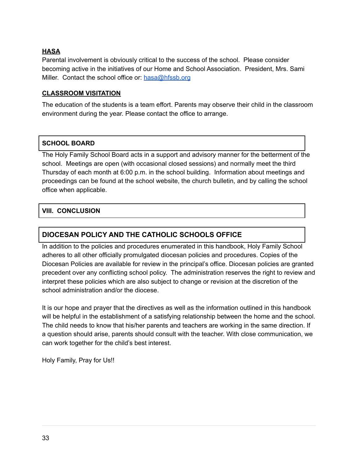#### **HASA**

Parental involvement is obviously critical to the success of the school. Please consider becoming active in the initiatives of our Home and School Association. President, Mrs. Sami Miller. Contact the school office or: [hasa@hfssb.org](mailto:hasa@hfssb.org)

#### **CLASSROOM VISITATION**

The education of the students is a team effort. Parents may observe their child in the classroom environment during the year. Please contact the office to arrange.

#### **SCHOOL BOARD**

The Holy Family School Board acts in a support and advisory manner for the betterment of the school. Meetings are open (with occasional closed sessions) and normally meet the third Thursday of each month at 6:00 p.m. in the school building. Information about meetings and proceedings can be found at the school website, the church bulletin, and by calling the school office when applicable.

#### **VIII. CONCLUSION**

#### **DIOCESAN POLICY AND THE CATHOLIC SCHOOLS OFFICE**

In addition to the policies and procedures enumerated in this handbook, Holy Family School adheres to all other officially promulgated diocesan policies and procedures. Copies of the Diocesan Policies are available for review in the principal's office. Diocesan policies are granted precedent over any conflicting school policy. The administration reserves the right to review and interpret these policies which are also subject to change or revision at the discretion of the school administration and/or the diocese.

It is our hope and prayer that the directives as well as the information outlined in this handbook will be helpful in the establishment of a satisfying relationship between the home and the school. The child needs to know that his/her parents and teachers are working in the same direction. If a question should arise, parents should consult with the teacher. With close communication, we can work together for the child's best interest.

Holy Family, Pray for Us!!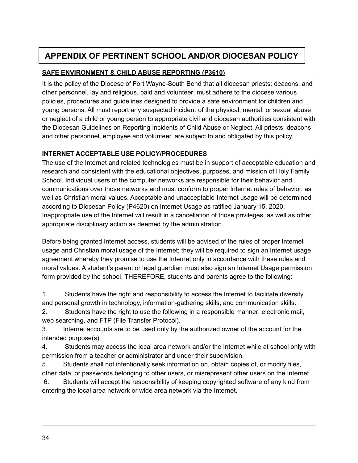# **APPENDIX OF PERTINENT SCHOOL AND/OR DIOCESAN POLICY**

#### **SAFE ENVIRONMENT & CHILD ABUSE REPORTING (P3610)**

It is the policy of the Diocese of Fort Wayne-South Bend that all diocesan priests; deacons; and other personnel, lay and religious, paid and volunteer; must adhere to the diocese various policies, procedures and guidelines designed to provide a safe environment for children and young persons. All must report any suspected incident of the physical, mental, or sexual abuse or neglect of a child or young person to appropriate civil and diocesan authorities consistent with the Diocesan Guidelines on Reporting Incidents of Child Abuse or Neglect. All priests, deacons and other personnel, employee and volunteer, are subject to and obligated by this policy.

#### **INTERNET ACCEPTABLE USE POLICY/PROCEDURES**

The use of the Internet and related technologies must be in support of acceptable education and research and consistent with the educational objectives, purposes, and mission of Holy Family School. Individual users of the computer networks are responsible for their behavior and communications over those networks and must conform to proper Internet rules of behavior, as well as Christian moral values. Acceptable and unacceptable Internet usage will be determined according to Diocesan Policy (P4620) on Internet Usage as ratified January 15, 2020. Inappropriate use of the Internet will result in a cancellation of those privileges, as well as other appropriate disciplinary action as deemed by the administration.

Before being granted Internet access, students will be advised of the rules of proper Internet usage and Christian moral usage of the Internet; they will be required to sign an Internet usage agreement whereby they promise to use the Internet only in accordance with these rules and moral values. A student's parent or legal guardian must also sign an Internet Usage permission form provided by the school. THEREFORE, students and parents agree to the following:

1. Students have the right and responsibility to access the Internet to facilitate diversity and personal growth in technology, information-gathering skills, and communication skills.

2. Students have the right to use the following in a responsible manner: electronic mail, web searching, and FTP (File Transfer Protocol).

3. Internet accounts are to be used only by the authorized owner of the account for the intended purpose(s).

4. Students may access the local area network and/or the Internet while at school only with permission from a teacher or administrator and under their supervision.

5. Students shall not intentionally seek information on, obtain copies of, or modify files, other data, or passwords belonging to other users, or misrepresent other users on the Internet.

6. Students will accept the responsibility of keeping copyrighted software of any kind from entering the local area network or wide area network via the Internet.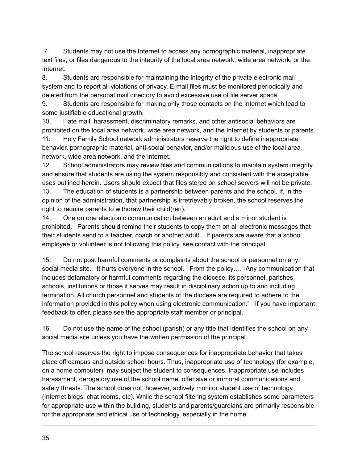7. Students may not use the Internet to access any pornographic material, inappropriate text files, or files dangerous to the integrity of the local area network, wide area network, or the Internet.

8. Students are responsible for maintaining the integrity of the private electronic mail system and to report all violations of privacy. E-mail files must be monitored periodically and deleted from the personal mail directory to avoid excessive use of file server space.

9. Students are responsible for making only those contacts on the Internet which lead to some justifiable educational growth.

10. Hate mail, harassment, discriminatory remarks, and other antisocial behaviors are prohibited on the local area network, wide area network, and the Internet by students or parents.

11. Holy Family School network administrators reserve the right to define inappropriate behavior, pornographic material, anti-social behavior, and/or malicious use of the local area network, wide area network, and the Internet.

12. School administrators may review files and communications to maintain system integrity and ensure that students are using the system responsibly and consistent with the acceptable uses outlined herein. Users should expect that files stored on school servers will not be private.

13. The education of students is a partnership between parents and the school. If, in the opinion of the administration, that partnership is irretrievably broken, the school reserves the right to require parents to withdraw their child(ren).

14. One on one electronic communication between an adult and a minor student is prohibited. Parents should remind their students to copy them on all electronic messages that their students send to a teacher, coach or another adult. If parents are aware that a school employee or volunteer is not following this policy, see contact with the principal.

15. Do not post harmful comments or complaints about the school or personnel on any social media site. It hurts everyone in the school. From the policy.... "Any communication that includes defamatory or harmful comments regarding the diocese, its personnel, parishes, schools, institutions or those it serves may result in disciplinary action up to and including termination. All church personnel and students of the diocese are required to adhere to the information provided in this policy when using electronic communication." If you have important feedback to offer, please see the appropriate staff member or principal.

16. Do not use the name of the school (parish) or any title that identifies the school on any social media site unless you have the written permission of the principal.

The school reserves the right to impose consequences for inappropriate behavior that takes place off campus and outside school hours. Thus, inappropriate use of technology (for example, on a home computer), may subject the student to consequences. Inappropriate use includes harassment, derogatory use of the school name, offensive or immoral communications and safety threats. The school does not, however, actively monitor student use of technology (Internet blogs, chat rooms, etc). While the school filtering system establishes some parameters for appropriate use within the building, students and parents/guardians are primarily responsible for the appropriate and ethical use of technology, especially in the home.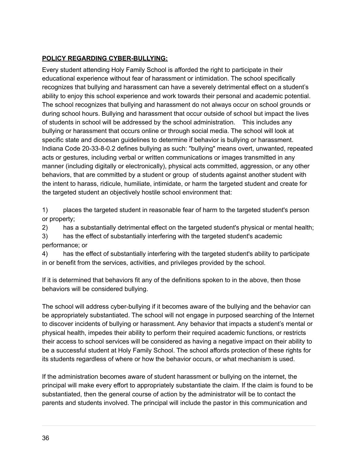#### **POLICY REGARDING CYBER-BULLYING:**

Every student attending Holy Family School is afforded the right to participate in their educational experience without fear of harassment or intimidation. The school specifically recognizes that bullying and harassment can have a severely detrimental effect on a student's ability to enjoy this school experience and work towards their personal and academic potential. The school recognizes that bullying and harassment do not always occur on school grounds or during school hours. Bullying and harassment that occur outside of school but impact the lives of students in school will be addressed by the school administration. This includes any bullying or harassment that occurs online or through social media. The school will look at specific state and diocesan guidelines to determine if behavior is bullying or harassment. Indiana Code 20-33-8-0.2 defines bullying as such: "bullying" means overt, unwanted, repeated acts or gestures, including verbal or written communications or images transmitted in any manner (including digitally or electronically), physical acts committed, aggression, or any other behaviors, that are committed by a student or group of students against another student with the intent to harass, ridicule, humiliate, intimidate, or harm the targeted student and create for the targeted student an objectively hostile school environment that:

1) places the targeted student in reasonable fear of harm to the targeted student's person or property;

2) has a substantially detrimental effect on the targeted student's physical or mental health;

3) has the effect of substantially interfering with the targeted student's academic performance; or

4) has the effect of substantially interfering with the targeted student's ability to participate in or benefit from the services, activities, and privileges provided by the school.

If it is determined that behaviors fit any of the definitions spoken to in the above, then those behaviors will be considered bullying.

The school will address cyber-bullying if it becomes aware of the bullying and the behavior can be appropriately substantiated. The school will not engage in purposed searching of the Internet to discover incidents of bullying or harassment. Any behavior that impacts a student's mental or physical health, impedes their ability to perform their required academic functions, or restricts their access to school services will be considered as having a negative impact on their ability to be a successful student at Holy Family School. The school affords protection of these rights for its students regardless of where or how the behavior occurs, or what mechanism is used.

If the administration becomes aware of student harassment or bullying on the internet, the principal will make every effort to appropriately substantiate the claim. If the claim is found to be substantiated, then the general course of action by the administrator will be to contact the parents and students involved. The principal will include the pastor in this communication and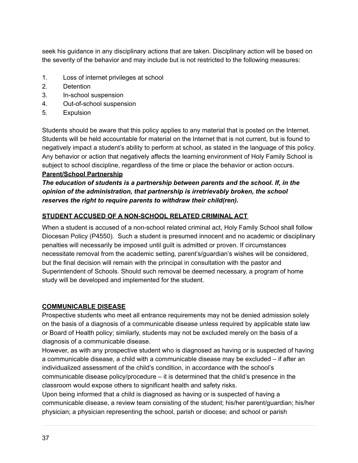seek his guidance in any disciplinary actions that are taken. Disciplinary action will be based on the severity of the behavior and may include but is not restricted to the following measures:

- 1. Loss of internet privileges at school
- 2. Detention
- 3. In-school suspension
- 4. Out-of-school suspension
- 5. Expulsion

Students should be aware that this policy applies to any material that is posted on the Internet. Students will be held accountable for material on the Internet that is not current, but is found to negatively impact a student's ability to perform at school, as stated in the language of this policy. Any behavior or action that negatively affects the learning environment of Holy Family School is subject to school discipline, regardless of the time or place the behavior or action occurs.

#### **Parent/School Partnership**

#### *The education of students is a partnership between parents and the school. If, in the opinion of the administration, that partnership is irretrievably broken, the school reserves the right to require parents to withdraw their child(ren).*

#### **STUDENT ACCUSED OF A NON-SCHOOL RELATED CRIMINAL ACT**

When a student is accused of a non-school related criminal act, Holy Family School shall follow Diocesan Policy (P4550). Such a student is presumed innocent and no academic or disciplinary penalties will necessarily be imposed until guilt is admitted or proven. If circumstances necessitate removal from the academic setting, parent's/guardian's wishes will be considered, but the final decision will remain with the principal in consultation with the pastor and Superintendent of Schools. Should such removal be deemed necessary, a program of home study will be developed and implemented for the student.

#### **COMMUNICABLE DISEASE**

Prospective students who meet all entrance requirements may not be denied admission solely on the basis of a diagnosis of a communicable disease unless required by applicable state law or Board of Health policy; similarly, students may not be excluded merely on the basis of a diagnosis of a communicable disease.

However, as with any prospective student who is diagnosed as having or is suspected of having a communicable disease, a child with a communicable disease may be excluded – if after an individualized assessment of the child's condition, in accordance with the school's communicable disease policy/procedure – it is determined that the child's presence in the classroom would expose others to significant health and safety risks.

Upon being informed that a child is diagnosed as having or is suspected of having a communicable disease, a review team consisting of the student; his/her parent/guardian; his/her physician; a physician representing the school, parish or diocese; and school or parish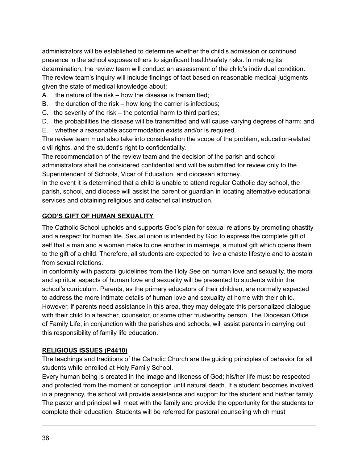administrators will be established to determine whether the child's admission or continued presence in the school exposes others to significant health/safety risks. In making its determination, the review team will conduct an assessment of the child's individual condition. The review team's inquiry will include findings of fact based on reasonable medical judgments given the state of medical knowledge about:

- A. the nature of the risk how the disease is transmitted;
- B. the duration of the risk how long the carrier is infectious;
- C. the severity of the risk the potential harm to third parties;
- D. the probabilities the disease will be transmitted and will cause varying degrees of harm; and
- E. whether a reasonable accommodation exists and/or is required.

The review team must also take into consideration the scope of the problem, education-related civil rights, and the student's right to confidentiality.

The recommendation of the review team and the decision of the parish and school administrators shall be considered confidential and will be submitted for review only to the Superintendent of Schools, Vicar of Education, and diocesan attorney.

In the event it is determined that a child is unable to attend regular Catholic day school, the parish, school, and diocese will assist the parent or guardian in locating alternative educational services and obtaining religious and catechetical instruction.

#### **GOD'S GIFT OF HUMAN SEXUALITY**

The Catholic School upholds and supports God's plan for sexual relations by promoting chastity and a respect for human life. Sexual union is intended by God to express the complete gift of self that a man and a woman make to one another in marriage, a mutual gift which opens them to the gift of a child. Therefore, all students are expected to live a chaste lifestyle and to abstain from sexual relations.

In conformity with pastoral guidelines from the Holy See on human love and sexuality, the moral and spiritual aspects of human love and sexuality will be presented to students within the school's curriculum. Parents, as the primary educators of their children, are normally expected to address the more intimate details of human love and sexuality at home with their child. However, if parents need assistance in this area, they may delegate this personalized dialogue with their child to a teacher, counselor, or some other trustworthy person. The Diocesan Office of Family Life, in conjunction with the parishes and schools, will assist parents in carrying out this responsibility of family life education.

#### **RELIGIOUS ISSUES (P4410)**

The teachings and traditions of the Catholic Church are the guiding principles of behavior for all students while enrolled at Holy Family School.

Every human being is created in the image and likeness of God; his/her life must be respected and protected from the moment of conception until natural death. If a student becomes involved in a pregnancy, the school will provide assistance and support for the student and his/her family. The pastor and principal will meet with the family and provide the opportunity for the students to complete their education. Students will be referred for pastoral counseling which must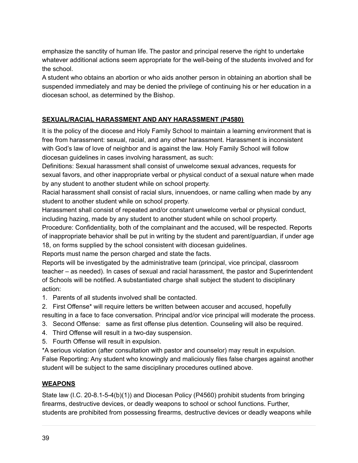emphasize the sanctity of human life. The pastor and principal reserve the right to undertake whatever additional actions seem appropriate for the well-being of the students involved and for the school.

A student who obtains an abortion or who aids another person in obtaining an abortion shall be suspended immediately and may be denied the privilege of continuing his or her education in a diocesan school, as determined by the Bishop.

#### **SEXUAL/RACIAL HARASSMENT AND ANY HARASSMENT (P4580)**

It is the policy of the diocese and Holy Family School to maintain a learning environment that is free from harassment: sexual, racial, and any other harassment. Harassment is inconsistent with God's law of love of neighbor and is against the law. Holy Family School will follow diocesan guidelines in cases involving harassment, as such:

Definitions: Sexual harassment shall consist of unwelcome sexual advances, requests for sexual favors, and other inappropriate verbal or physical conduct of a sexual nature when made by any student to another student while on school property.

Racial harassment shall consist of racial slurs, innuendoes, or name calling when made by any student to another student while on school property.

Harassment shall consist of repeated and/or constant unwelcome verbal or physical conduct, including hazing, made by any student to another student while on school property.

Procedure: Confidentiality, both of the complainant and the accused, will be respected. Reports of inappropriate behavior shall be put in writing by the student and parent/guardian, if under age 18, on forms supplied by the school consistent with diocesan guidelines.

Reports must name the person charged and state the facts.

Reports will be investigated by the administrative team (principal, vice principal, classroom teacher – as needed). In cases of sexual and racial harassment, the pastor and Superintendent of Schools will be notified. A substantiated charge shall subject the student to disciplinary action:

- 1. Parents of all students involved shall be contacted.
- 2. First Offense\* will require letters be written between accuser and accused, hopefully resulting in a face to face conversation. Principal and/or vice principal will moderate the process.
- 3. Second Offense: same as first offense plus detention. Counseling will also be required.
- 4. Third Offense will result in a two-day suspension.
- 5. Fourth Offense will result in expulsion.

\*A serious violation (after consultation with pastor and counselor) may result in expulsion. False Reporting: Any student who knowingly and maliciously files false charges against another student will be subject to the same disciplinary procedures outlined above.

#### **WEAPONS**

State law (I.C. 20-8.1-5-4(b)(1)) and Diocesan Policy (P4560) prohibit students from bringing firearms, destructive devices, or deadly weapons to school or school functions. Further, students are prohibited from possessing firearms, destructive devices or deadly weapons while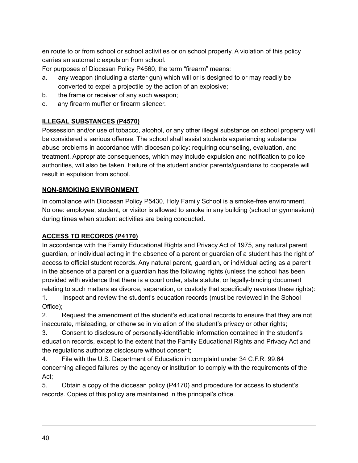en route to or from school or school activities or on school property. A violation of this policy carries an automatic expulsion from school.

For purposes of Diocesan Policy P4560, the term "firearm" means:

- a. any weapon (including a starter gun) which will or is designed to or may readily be converted to expel a projectile by the action of an explosive;
- b. the frame or receiver of any such weapon;
- c. any firearm muffler or firearm silencer.

#### **ILLEGAL SUBSTANCES (P4570)**

Possession and/or use of tobacco, alcohol, or any other illegal substance on school property will be considered a serious offense. The school shall assist students experiencing substance abuse problems in accordance with diocesan policy: requiring counseling, evaluation, and treatment. Appropriate consequences, which may include expulsion and notification to police authorities, will also be taken. Failure of the student and/or parents/guardians to cooperate will result in expulsion from school.

#### **NON-SMOKING ENVIRONMENT**

In compliance with Diocesan Policy P5430, Holy Family School is a smoke-free environment. No one: employee, student, or visitor is allowed to smoke in any building (school or gymnasium) during times when student activities are being conducted.

#### **ACCESS TO RECORDS (P4170)**

In accordance with the Family Educational Rights and Privacy Act of 1975, any natural parent, guardian, or individual acting in the absence of a parent or guardian of a student has the right of access to official student records. Any natural parent, guardian, or individual acting as a parent in the absence of a parent or a guardian has the following rights (unless the school has been provided with evidence that there is a court order, state statute, or legally-binding document relating to such matters as divorce, separation, or custody that specifically revokes these rights): 1. Inspect and review the student's education records (must be reviewed in the School Office);

2. Request the amendment of the student's educational records to ensure that they are not inaccurate, misleading, or otherwise in violation of the student's privacy or other rights;

3. Consent to disclosure of personally-identifiable information contained in the student's education records, except to the extent that the Family Educational Rights and Privacy Act and the regulations authorize disclosure without consent;

4. File with the U.S. Department of Education in complaint under 34 C.F.R. 99.64 concerning alleged failures by the agency or institution to comply with the requirements of the Act;

5. Obtain a copy of the diocesan policy (P4170) and procedure for access to student's records. Copies of this policy are maintained in the principal's office.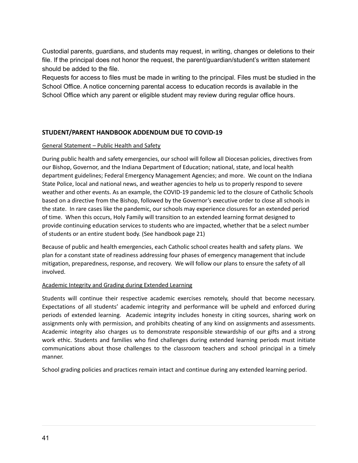Custodial parents, guardians, and students may request, in writing, changes or deletions to their file. If the principal does not honor the request, the parent/guardian/student's written statement should be added to the file.

Requests for access to files must be made in writing to the principal. Files must be studied in the School Office. A notice concerning parental access to education records is available in the School Office which any parent or eligible student may review during regular office hours.

#### **STUDENT/PARENT HANDBOOK ADDENDUM DUE TO COVID-19**

#### General Statement – Public Health and Safety

During public health and safety emergencies, our school will follow all Diocesan policies, directives from our Bishop, Governor, and the Indiana Department of Education; national, state, and local health department guidelines; Federal Emergency Management Agencies; and more. We count on the Indiana State Police, local and national news, and weather agencies to help us to properly respond to severe weather and other events. As an example, the COVID-19 pandemic led to the closure of Catholic Schools based on a directive from the Bishop, followed by the Governor's executive order to close all schools in the state. In rare cases like the pandemic, our schools may experience closures for an extended period of time. When this occurs, Holy Family will transition to an extended learning format designed to provide continuing education services to students who are impacted, whether that be a select number of students or an entire student body. (See handbook page 21)

Because of public and health emergencies, each Catholic school creates health and safety plans. We plan for a constant state of readiness addressing four phases of emergency management that include mitigation, preparedness, response, and recovery. We will follow our plans to ensure the safety of all involved.

#### Academic Integrity and Grading during Extended Learning

Students will continue their respective academic exercises remotely, should that become necessary. Expectations of all students' academic integrity and performance will be upheld and enforced during periods of extended learning. Academic integrity includes honesty in citing sources, sharing work on assignments only with permission, and prohibits cheating of any kind on assignments and assessments. Academic integrity also charges us to demonstrate responsible stewardship of our gifts and a strong work ethic. Students and families who find challenges during extended learning periods must initiate communications about those challenges to the classroom teachers and school principal in a timely manner.

School grading policies and practices remain intact and continue during any extended learning period.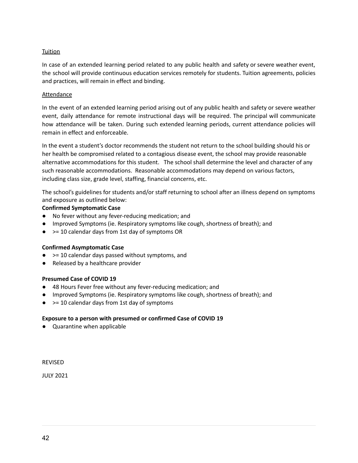#### **Tuition**

In case of an extended learning period related to any public health and safety or severe weather event, the school will provide continuous education services remotely for students. Tuition agreements, policies and practices, will remain in effect and binding.

#### Attendance

In the event of an extended learning period arising out of any public health and safety or severe weather event, daily attendance for remote instructional days will be required. The principal will communicate how attendance will be taken. During such extended learning periods, current attendance policies will remain in effect and enforceable.

In the event a student's doctor recommends the student not return to the school building should his or her health be compromised related to a contagious disease event, the school may provide reasonable alternative accommodations for this student. The school shall determine the level and character of any such reasonable accommodations. Reasonable accommodations may depend on various factors, including class size, grade level, staffing, financial concerns, etc.

The school's guidelines for students and/or staff returning to school after an illness depend on symptoms and exposure as outlined below:

#### **Confirmed Symptomatic Case**

- No fever without any fever-reducing medication; and
- Improved Symptoms (ie. Respiratory symptoms like cough, shortness of breath); and
- $\bullet$   $>$  = 10 calendar days from 1st day of symptoms OR

#### **Confirmed Asymptomatic Case**

- $\bullet$   $>$  = 10 calendar days passed without symptoms, and
- Released by a healthcare provider

#### **Presumed Case of COVID 19**

- 48 Hours Fever free without any fever-reducing medication; and
- Improved Symptoms (ie. Respiratory symptoms like cough, shortness of breath); and
- $\bullet$   $> = 10$  calendar days from 1st day of symptoms

#### **Exposure to a person with presumed or confirmed Case of COVID 19**

● Quarantine when applicable

REVISED

JULY 2021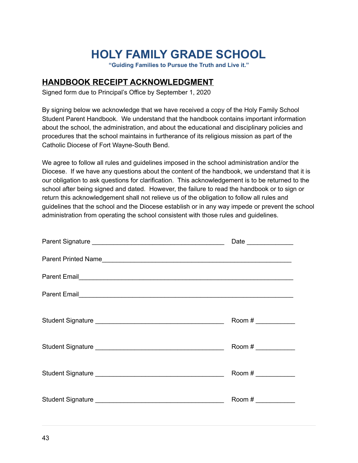# **HOLY FAMILY GRADE SCHOOL**

**"Guiding Families to Pursue the Truth and Live it."**

### **HANDBOOK RECEIPT ACKNOWLEDGMENT**

Signed form due to Principal's Office by September 1, 2020

By signing below we acknowledge that we have received a copy of the Holy Family School Student Parent Handbook. We understand that the handbook contains important information about the school, the administration, and about the educational and disciplinary policies and procedures that the school maintains in furtherance of its religious mission as part of the Catholic Diocese of Fort Wayne-South Bend.

We agree to follow all rules and guidelines imposed in the school administration and/or the Diocese. If we have any questions about the content of the handbook, we understand that it is our obligation to ask questions for clarification. This acknowledgement is to be returned to the school after being signed and dated. However, the failure to read the handbook or to sign or return this acknowledgement shall not relieve us of the obligation to follow all rules and guidelines that the school and the Diocese establish or in any way impede or prevent the school administration from operating the school consistent with those rules and guidelines.

|                                                                                                                                                                                                                                      | Date _______________ |
|--------------------------------------------------------------------------------------------------------------------------------------------------------------------------------------------------------------------------------------|----------------------|
|                                                                                                                                                                                                                                      |                      |
|                                                                                                                                                                                                                                      |                      |
| Parent Email <b>Sales And American Contract Contract Contract Contract Contract Contract Contract Contract Contract Contract Contract Contract Contract Contract Contract Contract Contract Contract Contract Contract Contract </b> |                      |
|                                                                                                                                                                                                                                      |                      |
|                                                                                                                                                                                                                                      | Room #               |
|                                                                                                                                                                                                                                      | Room #               |
|                                                                                                                                                                                                                                      | Room #               |